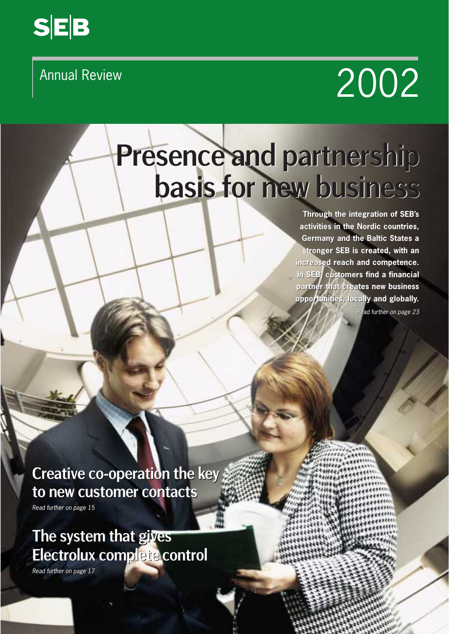

# Presence and partnership basis for new business basis for new business Annual Review 2002<br>
Presence and partnership<br>
basis for mew business<br>
Through the integration of SERs<br>
activities in the Nordic countries,<br>
activities in the Nordic Countries,<br>
Through the integration of SERs<br>
activities i

**Through the integration of SEB's the integration of SEB's activities in the Nordic countries, activities in the Nordic Germany and the Baltic States a** Germany and the Baltic States a<br>stronger SEB is created, with an **increased reach and competence. increased reach competence. In SEB, customers find a financial partner that creates new business new business opportunities, locally and globally. locally and globally.**

*Read further on page 23*

Creative co-operation the key Creative co-operation the key to new customer contacts to new customer contacts

*Read further on page 15 Read further on page 15*

### The system that gives The system that gives Electrolux complete control Electrolux complete control

*Read further on page 17 Read further on page 17*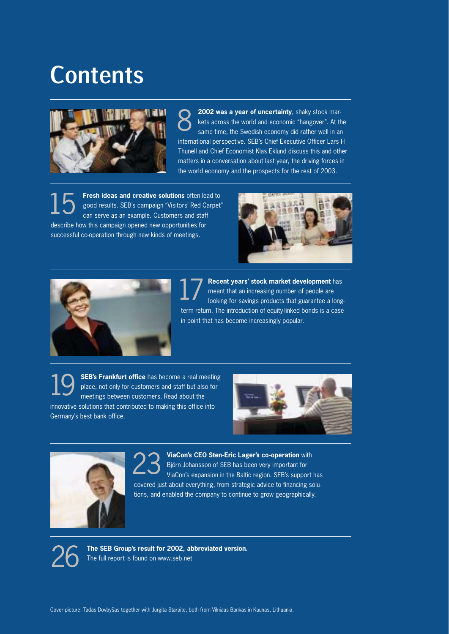# Contents



**2002 was a year of uncertainty**, shaky stock markets across the world and economic "hangover". At the same time, the Swedish economy did rather well in an international perspective. SEB's Chief Executive Officer Lars H Thunell and Chief Economist Klas Eklund discuss this and other matters in a conversation about last year, the driving forces in the world economy and the prospects for the rest of 2003. 8

**Fresh ideas and creative solutions** often lead to good results. SEB's campaign "Visitors' Red Carpet" can serve as an example. Customers and staff describe how this campaign opened new opportunities for successful co-operation through new kinds of meetings. 15





**Recent years' stock market development** has meant that an increasing number of people are looking for savings products that guarantee a longterm return. The introduction of equity-linked bonds is a case in point that has become increasingly popular. 17

**SEB's Frankfurt office** has become a real meeting place, not only for customers and staff but also for meetings between customers. Read about the innovative solutions that contributed to making this office into Germany's best bank office. 19





**ViaCon's CEO Sten-Eric Lager's co-operation** with Björn Johansson of SEB has been very important for ViaCon's expansion in the Baltic region. SEB's support has covered just about everything, from strategic advice to financing solutions, and enabled the company to continue to grow geographically. 23

**The SEB Group's result for 2002, abbreviated version.** The full report is found on www.seb.net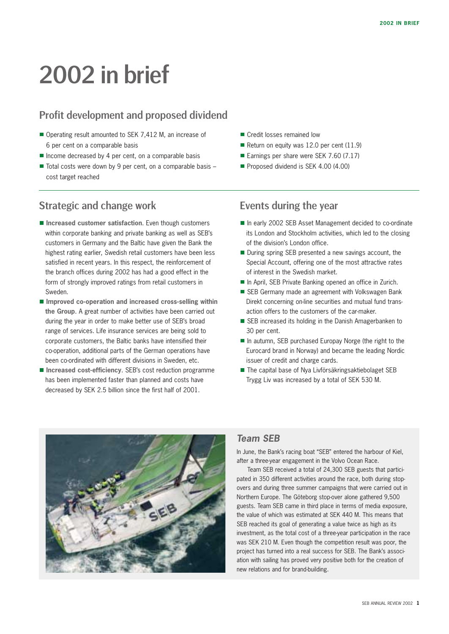# 2002 in brief

#### Profit development and proposed dividend

- Operating result amounted to SEK 7,412 M, an increase of 6 per cent on a comparable basis
- $\blacksquare$  Income decreased by 4 per cent, on a comparable basis
- $\blacksquare$  Total costs were down by 9 per cent, on a comparable basis cost target reached

#### Strategic and change work

- **Increased customer satisfaction**. Even though customers within corporate banking and private banking as well as SEB's customers in Germany and the Baltic have given the Bank the highest rating earlier, Swedish retail customers have been less satisfied in recent years. In this respect, the reinforcement of the branch offices during 2002 has had a good effect in the form of strongly improved ratings from retail customers in Sweden.
- **Improved co-operation and increased cross-selling within the Group**. A great number of activities have been carried out during the year in order to make better use of SEB's broad range of services. Life insurance services are being sold to corporate customers, the Baltic banks have intensified their co-operation, additional parts of the German operations have been co-ordinated with different divisions in Sweden, etc.
- **Increased cost-efficiency**. SEB's cost reduction programme has been implemented faster than planned and costs have decreased by SEK 2.5 billion since the first half of 2001.
- Credit losses remained low
- Return on equity was 12.0 per cent  $(11.9)$
- Earnings per share were SEK 7.60 (7.17)
- Proposed dividend is SEK 4.00 (4.00)

#### Events during the year

- In early 2002 SEB Asset Management decided to co-ordinate its London and Stockholm activities, which led to the closing of the division's London office.
- During spring SEB presented a new savings account, the Special Account, offering one of the most attractive rates of interest in the Swedish market.
- In April, SEB Private Banking opened an office in Zurich.
- SEB Germany made an agreement with Volkswagen Bank Direkt concerning on-line securities and mutual fund transaction offers to the customers of the car-maker.
- SEB increased its holding in the Danish Amagerbanken to 30 per cent.
- In autumn, SEB purchased Europay Norge (the right to the Eurocard brand in Norway) and became the leading Nordic issuer of credit and charge cards.
- The capital base of Nya Livförsäkringsaktiebolaget SEB Trygg Liv was increased by a total of SEK 530 M.



#### *Team SEB*

In June, the Bank's racing boat "SEB" entered the harbour of Kiel, after a three-year engagement in the Volvo Ocean Race.

Team SEB received a total of 24,300 SEB guests that participated in 350 different activities around the race, both during stopovers and during three summer campaigns that were carried out in Northern Europe. The Göteborg stop-over alone gathered 9,500 guests. Team SEB came in third place in terms of media exposure, the value of which was estimated at SEK 440 M. This means that SEB reached its goal of generating a value twice as high as its investment, as the total cost of a three-year participation in the race was SEK 210 M. Even though the competition result was poor, the project has turned into a real success for SEB. The Bank's association with sailing has proved very positive both for the creation of new relations and for brand-building.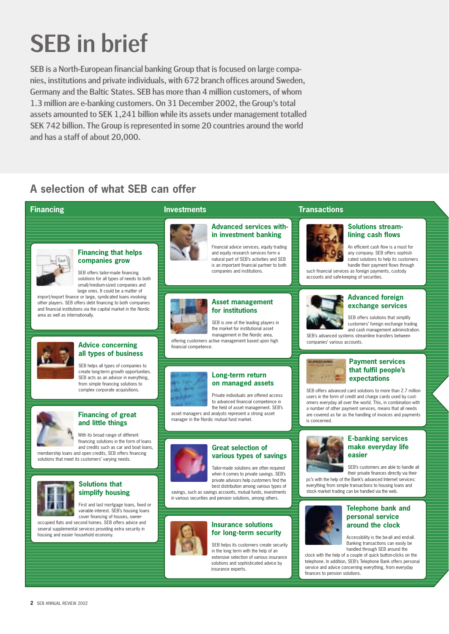# SEB in brief

SEB is a North-European financial banking Group that is focused on large companies, institutions and private individuals, with 672 branch offices around Sweden, Germany and the Baltic States. SEB has more than 4 million customers, of whom 1.3 million are e-banking customers. On 31 December 2002, the Group's total assets amounted to SEK 1,241 billion while its assets under management totalled SEK 742 billion. The Group is represented in some 20 countries around the world and has a staff of about 20,000.

### **A selection of what SEB can offer**

#### **Financing**



#### **Financing that helps companies grow**

SEB offers tailor-made financing solutions for all types of needs to both small/medium-sized companies and large ones. It could be a matter of

import/export finance or large, syndicated loans involving other players. SEB offers debt financing to both companies and financial institutions via the capital market in the Nordic area as well as internationally.



#### **Advice concerning all types of business**

SEB helps all types of companies to create long-term growth opportunities. SEB acts as an advisor in everything, from simple financing solutions to complex corporate acquisitions.



#### **Financing of great and little things**

With its broad range of different financing solutions in the form of loans and credits such as car and boat loans, membership loans and open credits, SEB offers financing solutions that meet its customers' varying needs.



#### **Solutions that simplify housing**

First and last mortgage loans, fixed or variable interest. SEB's housing loans cover financing of houses, owner-

occupied flats and second homes. SEB offers advice and several supplemental services providing extra security in housing and easier household economy.



#### **Advanced services within investment banking**

Financial advice services, equity trading and equity research services form a natural part of SEB's activities and SEB is an important financial partner to both companies and institutions.



#### **Asset management for institutions**

SEB is one of the leading players in the market for institutional asset management in the Nordic area,

offering customers active management based upon high financial competence.



#### **Long-term return on managed assets**

Private individuals are offered access to advanced financial competence in the field of asset management. SEB's asset managers and analysts represent a strong asset

manager in the Nordic mutual fund market.



#### **Great selection of various types of savings**

Tailor-made solutions are often required when it comes to private savings. SEB's private advisors help customers find the best distribution among various types of

savings, such as savings accounts, mutual funds, investments in various securities and pension solutions, among others.



#### **Insurance solutions for long-term security**

SEB helps its customers create security in the long term with the help of an extensive selection of various insurance solutions and sophisticated advice by insurance experts.

#### **Investments Transactions**



**lining cash flows** An efficient cash flow is a must for any company. SEB offers sophisti-

**Solutions stream-**

cated solutions to help its customers handle their payment flows through such financial services as foreign payments, custody accounts and safe-keeping of securities.



#### **Advanced foreign exchange services**

SEB offers solutions that simplify customers' foreign exchange trading and cash management administration.

SEB's advanced systems streamline transfers between<br>companies' various accounts.



#### **Payment services that fulfil people's expectations**

SEB offers advanced card solutions to more than 2.7 million users in the form of credit and charge cards used by customers everyday all over the world. This, in combination with a number of other payment services, means that all needs are covered as far as the handling of invoices and payments is concerned.



#### **E-banking services make everyday life easier**

SEB's customers are able to handle all their private finances directly via their

pc's with the help of the Bank's advanced Internet services: everything from simple transactions to housing loans and stock market trading can be handled via the web.



#### **Telephone bank and personal service around the clock**

Accessibility is the be-all and end-all. Banking transactions can easily be handled through SEB around the

clock with the help of a couple of quick button-clicks on the telephone. In addition, SEB's Telephone Bank offers personal service and advice concerning everything, from everyday finances to pension solutions.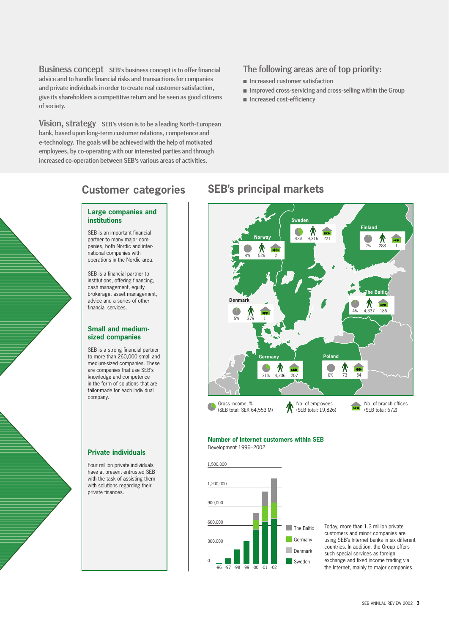Business concept SEB's business concept is to offer financial advice and to handle financial risks and transactions for companies and private individuals in order to create real customer satisfaction, give its shareholders a competitive return and be seen as good citizens of society.

Vision, strategy SEB's vision is to be a leading North-European bank, based upon long-term customer relations, competence and e-technology. The goals will be achieved with the help of motivated employees, by co-operating with our interested parties and through increased co-operation between SEB's various areas of activities.

#### The following areas are of top priority:

- **Increased customer satisfaction**
- **Inproved cross-servicing and cross-selling within the Group**
- **Increased cost-efficiency**

#### **Customer categories**

#### **Large companies and institutions**

SEB is an important financial partner to many major companies, both Nordic and international companies with operations in the Nordic area.

SEB is a financial partner to institutions, offering financing, cash management, equity brokerage, asset management, advice and a series of other financial services.

#### **Small and mediumsized companies**

SEB is a strong financial partner to more than 260,000 small and medium-sized companies. These are companies that use SEB's knowledge and competence in the form of solutions that are tailor-made for each individual company.

#### **Private individuals**

Four million private individuals have at present entrusted SEB with the task of assisting them with solutions regarding their private finances.





#### **Number of Internet customers within SEB** Development 1996–2002





Today, more than 1.3 million private customers and minor companies are using SEB's Internet banks in six different countries. In addition, the Group offers such special services as foreign exchange and fixed income trading via the Internet, mainly to major companies.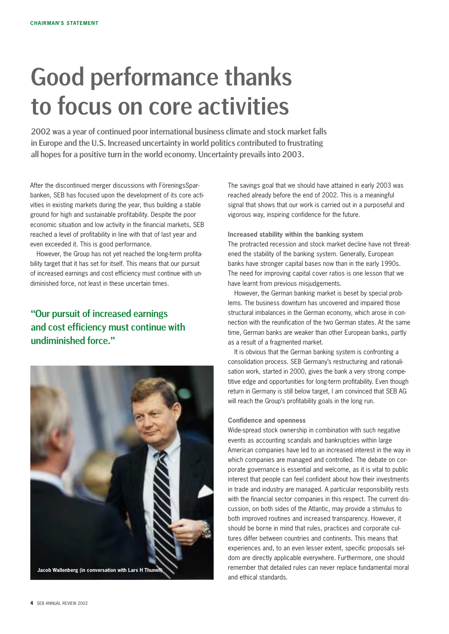# Good performance thanks to focus on core activities

2002 was a year of continued poor international business climate and stock market falls in Europe and the U.S. Increased uncertainty in world politics contributed to frustrating all hopes for a positive turn in the world economy. Uncertainty prevails into 2003.

After the discontinued merger discussions with FöreningsSparbanken, SEB has focused upon the development of its core activities in existing markets during the year, thus building a stable ground for high and sustainable profitability. Despite the poor economic situation and low activity in the financial markets, SEB reached a level of profitability in line with that of last year and even exceeded it. This is good performance.

However, the Group has not yet reached the long-term profitability target that it has set for itself. This means that our pursuit of increased earnings and cost efficiency must continue with undiminished force, not least in these uncertain times.

#### "Our pursuit of increased earnings and cost efficiency must continue with undiminished force."



The savings goal that we should have attained in early 2003 was reached already before the end of 2002. This is a meaningful signal that shows that our work is carried out in a purposeful and vigorous way, inspiring confidence for the future.

**Increased stability within the banking system** The protracted recession and stock market decline have not threatened the stability of the banking system. Generally, European banks have stronger capital bases now than in the early 1990s. The need for improving capital cover ratios is one lesson that we have learnt from previous misjudgements.

However, the German banking market is beset by special problems. The business downturn has uncovered and impaired those structural imbalances in the German economy, which arose in connection with the reunification of the two German states. At the same time, German banks are weaker than other European banks, partly as a result of a fragmented market.

It is obvious that the German banking system is confronting a consolidation process. SEB Germany's restructuring and rationalisation work, started in 2000, gives the bank a very strong competitive edge and opportunities for long-term profitability. Even though return in Germany is still below target, I am convinced that SEB AG will reach the Group's profitability goals in the long run.

#### **Confidence and openness**

Wide-spread stock ownership in combination with such negative events as accounting scandals and bankruptcies within large American companies have led to an increased interest in the way in which companies are managed and controlled. The debate on corporate governance is essential and welcome, as it is vital to public interest that people can feel confident about how their investments in trade and industry are managed. A particular responsibility rests with the financial sector companies in this respect. The current discussion, on both sides of the Atlantic, may provide a stimulus to both improved routines and increased transparency. However, it should be borne in mind that rules, practices and corporate cultures differ between countries and continents. This means that experiences and, to an even lesser extent, specific proposals seldom are directly applicable everywhere. Furthermore, one should remember that detailed rules can never replace fundamental moral and ethical standards.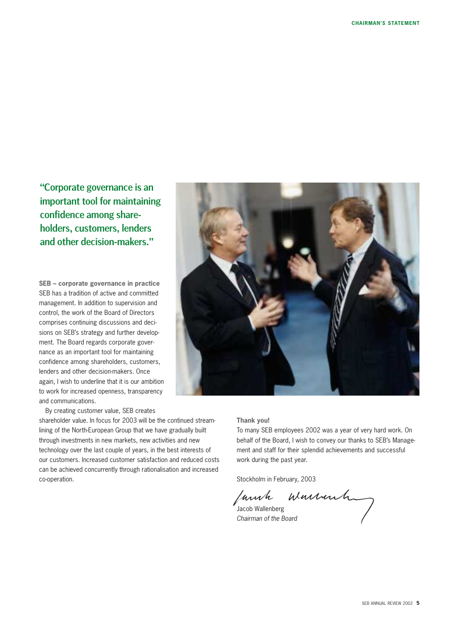"Corporate governance is an important tool for maintaining confidence among shareholders, customers, lenders and other decision-makers."

**SEB – corporate governance in practice** SEB has a tradition of active and committed management. In addition to supervision and control, the work of the Board of Directors comprises continuing discussions and decisions on SEB's strategy and further development. The Board regards corporate governance as an important tool for maintaining confidence among shareholders, customers, lenders and other decision-makers. Once again, I wish to underline that it is our ambition to work for increased openness, transparency and communications.

By creating customer value, SEB creates

shareholder value. In focus for 2003 will be the continued streamlining of the North-European Group that we have gradually built through investments in new markets, new activities and new technology over the last couple of years, in the best interests of our customers. Increased customer satisfaction and reduced costs can be achieved concurrently through rationalisation and increased co-operation.



#### **Thank you!**

To many SEB employees 2002 was a year of very hard work. On behalf of the Board, I wish to convey our thanks to SEB's Management and staff for their splendid achievements and successful work during the past year.

Stockholm in February, 2003 Innh

Jacob Wallenberg *Chairman of the Board*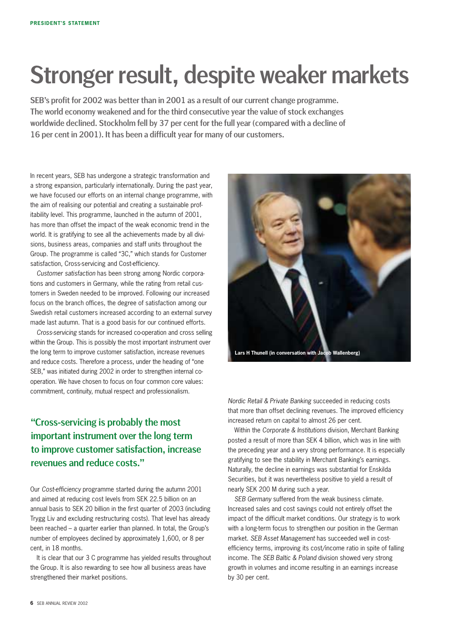# Stronger result, despite weaker markets

SEB's profit for 2002 was better than in 2001 as a result of our current change programme. The world economy weakened and for the third consecutive year the value of stock exchanges worldwide declined. Stockholm fell by 37 per cent for the full year (compared with a decline of 16 per cent in 2001). It has been a difficult year for many of our customers.

In recent years, SEB has undergone a strategic transformation and a strong expansion, particularly internationally. During the past year, we have focused our efforts on an internal change programme, with the aim of realising our potential and creating a sustainable profitability level. This programme, launched in the autumn of 2001, has more than offset the impact of the weak economic trend in the world. It is gratifying to see all the achievements made by all divisions, business areas, companies and staff units throughout the Group. The programme is called "3C," which stands for Customer satisfaction, Cross-servicing and Cost-efficiency.

*Customer satisfaction* has been strong among Nordic corporations and customers in Germany, while the rating from retail customers in Sweden needed to be improved. Following our increased focus on the branch offices, the degree of satisfaction among our Swedish retail customers increased according to an external survey made last autumn. That is a good basis for our continued efforts.

*Cross-servicing* stands for increased co-operation and cross selling within the Group. This is possibly the most important instrument over the long term to improve customer satisfaction, increase revenues and reduce costs. Therefore a process, under the heading of "one SEB," was initiated during 2002 in order to strengthen internal cooperation. We have chosen to focus on four common core values: commitment, continuity, mutual respect and professionalism.

#### "Cross-servicing is probably the most important instrument over the long term to improve customer satisfaction, increase revenues and reduce costs."

Our *Cost-efficiency* programme started during the autumn 2001 and aimed at reducing cost levels from SEK 22.5 billion on an annual basis to SEK 20 billion in the first quarter of 2003 (including Trygg Liv and excluding restructuring costs). That level has already been reached – a quarter earlier than planned. In total, the Group's number of employees declined by approximately 1,600, or 8 per cent, in 18 months.

It is clear that our 3 C programme has yielded results throughout the Group. It is also rewarding to see how all business areas have strengthened their market positions.



*Nordic Retail & Private Banking* succeeded in reducing costs that more than offset declining revenues. The improved efficiency increased return on capital to almost 26 per cent.

Within the *Corporate & Institutions* division, Merchant Banking posted a result of more than SEK 4 billion, which was in line with the preceding year and a very strong performance. It is especially gratifying to see the stability in Merchant Banking's earnings. Naturally, the decline in earnings was substantial for Enskilda Securities, but it was nevertheless positive to yield a result of nearly SEK 200 M during such a year.

*SEB Germany* suffered from the weak business climate. Increased sales and cost savings could not entirely offset the impact of the difficult market conditions. Our strategy is to work with a long-term focus to strengthen our position in the German market. *SEB Asset Management* has succeeded well in costefficiency terms, improving its cost/income ratio in spite of falling income. The *SEB Baltic & Poland* division showed very strong growth in volumes and income resulting in an earnings increase by 30 per cent.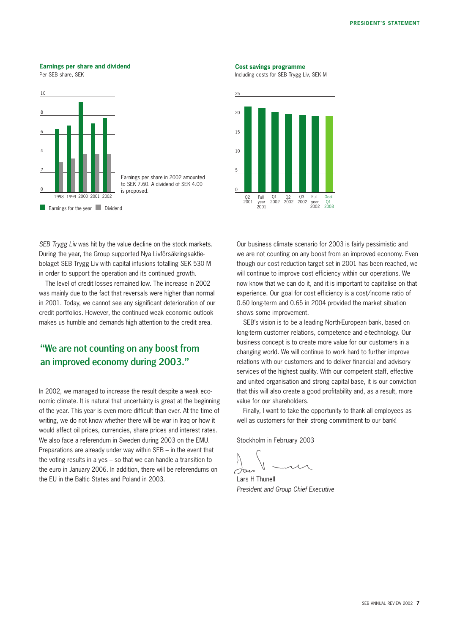#### **Earnings per share and dividend**

Per SEB share, SEK



*SEB Trygg Liv* was hit by the value decline on the stock markets. During the year, the Group supported Nya Livförsäkringsaktiebolaget SEB Trygg Liv with capital infusions totalling SEK 530 M in order to support the operation and its continued growth.

The level of credit losses remained low. The increase in 2002 was mainly due to the fact that reversals were higher than normal in 2001. Today, we cannot see any significant deterioration of our credit portfolios. However, the continued weak economic outlook makes us humble and demands high attention to the credit area.

#### "We are not counting on any boost from an improved economy during 2003."

In 2002, we managed to increase the result despite a weak economic climate. It is natural that uncertainty is great at the beginning of the year. This year is even more difficult than ever. At the time of writing, we do not know whether there will be war in Iraq or how it would affect oil prices, currencies, share prices and interest rates. We also face a referendum in Sweden during 2003 on the EMU. Preparations are already under way within SEB – in the event that the voting results in a yes – so that we can handle a transition to the euro in January 2006. In addition, there will be referendums on the EU in the Baltic States and Poland in 2003.

#### **Cost savings programme**

Including costs for SEB Trygg Liv, SEK M



Our business climate scenario for 2003 is fairly pessimistic and we are not counting on any boost from an improved economy. Even though our cost reduction target set in 2001 has been reached, we will continue to improve cost efficiency within our operations. We now know that we can do it, and it is important to capitalise on that experience. Our goal for cost efficiency is a cost/income ratio of 0.60 long-term and 0.65 in 2004 provided the market situation shows some improvement.

SEB's vision is to be a leading North-European bank, based on long-term customer relations, competence and e-technology. Our business concept is to create more value for our customers in a changing world. We will continue to work hard to further improve relations with our customers and to deliver financial and advisory services of the highest quality. With our competent staff, effective and united organisation and strong capital base, it is our conviction that this will also create a good profitability and, as a result, more value for our shareholders.

Finally, I want to take the opportunity to thank all employees as well as customers for their strong commitment to our bank!

Stockholm in February 2003

Lars H Thunell *President and Group Chief Executive*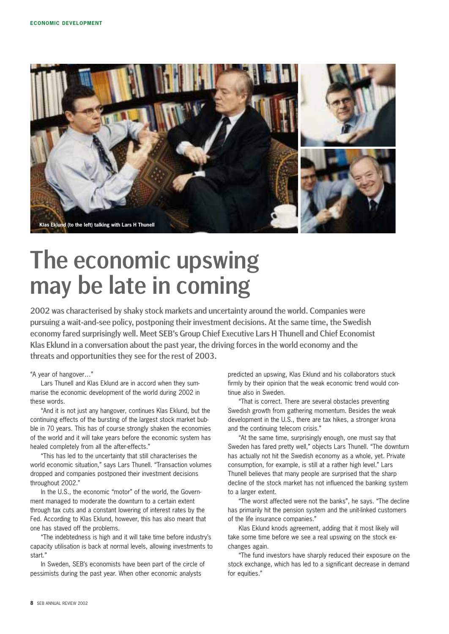

# The economic upswing may be late in coming

2002 was characterised by shaky stock markets and uncertainty around the world. Companies were pursuing a wait-and-see policy, postponing their investment decisions. At the same time, the Swedish economy fared surprisingly well. Meet SEB's Group Chief Executive Lars H Thunell and Chief Economist Klas Eklund in a conversation about the past year, the driving forces in the world economy and the threats and opportunities they see for the rest of 2003.

"A year of hangover…"

Lars Thunell and Klas Eklund are in accord when they summarise the economic development of the world during 2002 in these words.

"And it is not just any hangover, continues Klas Eklund, but the continuing effects of the bursting of the largest stock market bubble in 70 years. This has of course strongly shaken the economies of the world and it will take years before the economic system has healed completely from all the after-effects."

"This has led to the uncertainty that still characterises the world economic situation," says Lars Thunell. "Transaction volumes dropped and companies postponed their investment decisions throughout 2002."

In the U.S., the economic "motor" of the world, the Government managed to moderate the downturn to a certain extent through tax cuts and a constant lowering of interest rates by the Fed. According to Klas Eklund, however, this has also meant that one has staved off the problems.

"The indebtedness is high and it will take time before industry's capacity utilisation is back at normal levels, allowing investments to start."

In Sweden, SEB's economists have been part of the circle of pessimists during the past year. When other economic analysts

predicted an upswing, Klas Eklund and his collaborators stuck firmly by their opinion that the weak economic trend would continue also in Sweden.

"That is correct. There are several obstacles preventing Swedish growth from gathering momentum. Besides the weak development in the U.S., there are tax hikes, a stronger krona and the continuing telecom crisis."

"At the same time, surprisingly enough, one must say that Sweden has fared pretty well," objects Lars Thunell. "The downturn has actually not hit the Swedish economy as a whole, yet. Private consumption, for example, is still at a rather high level." Lars Thunell believes that many people are surprised that the sharp decline of the stock market has not influenced the banking system to a larger extent.

"The worst affected were not the banks", he says. "The decline has primarily hit the pension system and the unit-linked customers of the life insurance companies."

Klas Eklund knods agreement, adding that it most likely will take some time before we see a real upswing on the stock exchanges again.

"The fund investors have sharply reduced their exposure on the stock exchange, which has led to a significant decrease in demand for equities."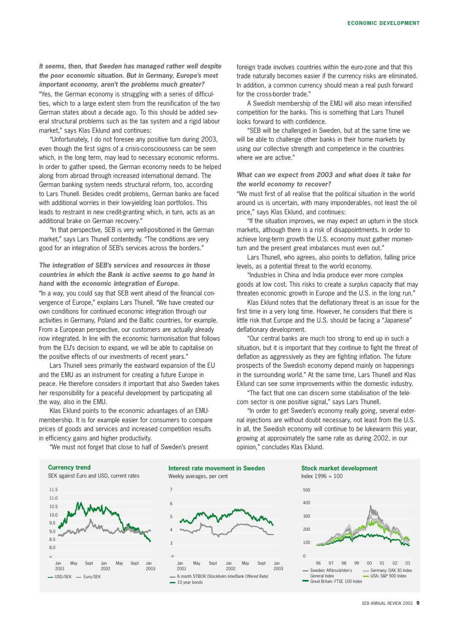*It seems, then, that Sweden has managed rather well despite the poor economic situation. But in Germany, Europe's most important economy, aren't the problems much greater?* "Yes, the German economy is struggling with a series of difficulties, which to a large extent stem from the reunification of the two German states about a decade ago. To this should be added several structural problems such as the tax system and a rigid labour market," says Klas Eklund and continues:

"Unfortunately, I do not foresee any positive turn during 2003, even though the first signs of a crisis-consciousness can be seen which, in the long term, may lead to necessary economic reforms. In order to gather speed, the German economy needs to be helped along from abroad through increased international demand. The German banking system needs structural reform, too, according to Lars Thunell. Besides credit problems, German banks are faced with additional worries in their low-yielding loan portfolios. This leads to restraint in new credit-granting which, in turn, acts as an additional brake on German recovery."

"In that perspective, SEB is very well-positioned in the German market," says Lars Thunell contentedly. "The conditions are very good for an integration of SEB's services across the borders."

*The integration of SEB's services and resources in those countries in which the Bank is active seems to go hand in hand with the economic integration of Europe.*

"In a way, you could say that SEB went ahead of the financial convergence of Europe," explains Lars Thunell. "We have created our own conditions for continued economic integration through our activities in Germany, Poland and the Baltic countries, for example. From a European perspective, our customers are actually already now integrated. In line with the economic harmonisation that follows from the EU's decision to expand, we will be able to capitalise on the positive effects of our investments of recent years."

Lars Thunell sees primarily the eastward expansion of the EU and the EMU as an instrument for creating a future Europe in peace. He therefore considers it important that also Sweden takes her responsibility for a peaceful development by participating all the way, also in the EMU.

Klas Eklund points to the economic advantages of an EMUmembership. It is for example easier for consumers to compare prices of goods and services and increased competition results in efficiency gains and higher productivity.

foreign trade involves countries within the euro-zone and that this trade naturally becomes easier if the currency risks are eliminated. In addition, a common currency should mean a real push forward for the cross-border trade."

A Swedish membership of the EMU will also mean intensified competition for the banks. This is something that Lars Thunell looks forward to with confidence.

"SEB will be challenged in Sweden, but at the same time we will be able to challenge other banks in their home markets by using our collective strength and competence in the countries where we are active."

*What can we expect from 2003 and what does it take for the world economy to recover?*

"We must first of all realise that the political situation in the world around us is uncertain, with many imponderables, not least the oil price," says Klas Eklund, and continues:

"If the situation improves, we may expect an upturn in the stock markets, although there is a risk of disappointments. In order to achieve long-term growth the U.S. economy must gather momentum and the present great imbalances must even out."

Lars Thunell, who agrees, also points to deflation, falling price levels, as a potential threat to the world economy.

"Industries in China and India produce ever more complex goods at low cost. This risks to create a surplus capacity that may threaten economic growth in Europe and the U.S. in the long run."

Klas Eklund notes that the deflationary threat is an issue for the first time in a very long time. However, he considers that there is little risk that Europe and the U.S. should be facing a "Japanese" deflationary development.

"Our central banks are much too strong to end up in such a situation, but it is important that they continue to fight the threat of deflation as aggressively as they are fighting inflation. The future prospects of the Swedish economy depend mainly on happenings in the surrounding world." At the same time, Lars Thunell and Klas Eklund can see some improvements within the domestic industry.

"The fact that one can discern some stabilisation of the telecom sector is one positive signal," says Lars Thunell.

"In order to get Sweden's economy really going, several external injections are without doubt necessary, not least from the U.S. In all, the Swedish economy will continue to be lukewarm this year, growing at approximately the same rate as during 2002, in our opinion," concludes Klas Eklund.

"We must not forget that close to half of Sweden's present







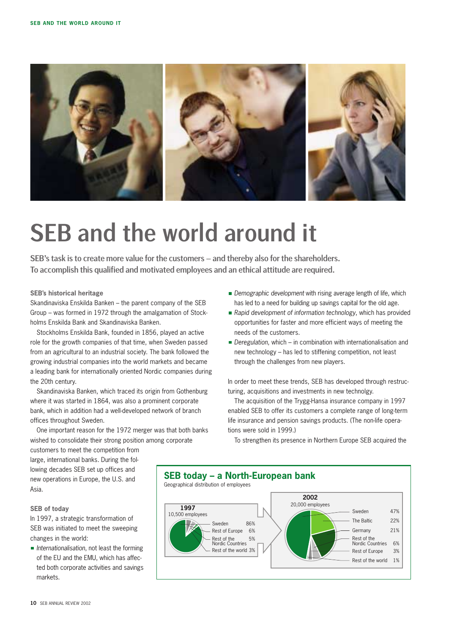

# SEB and the world around it

SEB's task is to create more value for the customers – and thereby also for the shareholders. To accomplish this qualified and motivated employees and an ethical attitude are required.

#### **SEB's historical heritage**

Skandinaviska Enskilda Banken – the parent company of the SEB Group – was formed in 1972 through the amalgamation of Stockholms Enskilda Bank and Skandinaviska Banken.

Stockholms Enskilda Bank, founded in 1856, played an active role for the growth companies of that time, when Sweden passed from an agricultural to an industrial society. The bank followed the growing industrial companies into the world markets and became a leading bank for internationally oriented Nordic companies during the 20th century.

Skandinaviska Banken, which traced its origin from Gothenburg where it was started in 1864, was also a prominent corporate bank, which in addition had a well-developed network of branch offices throughout Sweden.

One important reason for the 1972 merger was that both banks wished to consolidate their strong position among corporate

customers to meet the competition from large, international banks. During the following decades SEB set up offices and new operations in Europe, the U.S. and Asia.

#### **SEB of today**

In 1997, a strategic transformation of SEB was initiated to meet the sweeping changes in the world:

*Internationalisation*, not least the forming of the EU and the EMU, which has affected both corporate activities and savings markets.

- **Demographic development with rising average length of life, which** has led to a need for building up savings capital for the old age.
- *Rapid development of information technology*, which has provided opportunities for faster and more efficient ways of meeting the needs of the customers.
- *Deregulation*, which in combination with internationalisation and new technology – has led to stiffening competition, not least through the challenges from new players.

In order to meet these trends, SEB has developed through restructuring, acquisitions and investments in new technolgy.

The acquisition of the Trygg-Hansa insurance company in 1997 enabled SEB to offer its customers a complete range of long-term life insurance and pension savings products. (The non-life operations were sold in 1999.)

To strengthen its presence in Northern Europe SEB acquired the

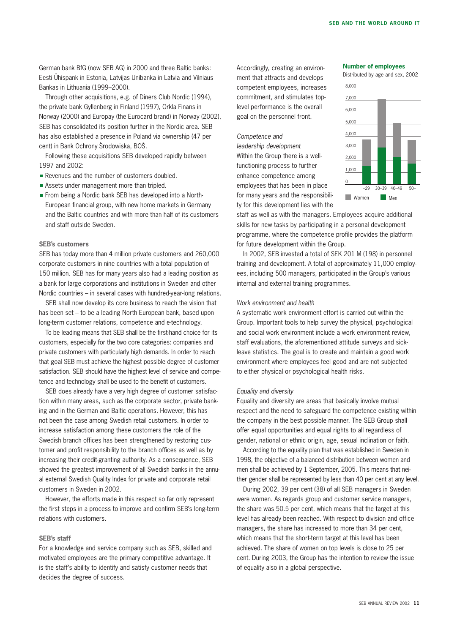German bank BfG (now SEB AG) in 2000 and three Baltic banks: Eesti Ühispank in Estonia, Latvijas Unibanka in Latvia and Vilniaus Bankas in Lithuania (1999–2000).

Through other acquisitions, e.g. of Diners Club Nordic (1994), the private bank Gyllenberg in Finland (1997), Orkla Finans in Norway (2000) and Europay (the Eurocard brand) in Norway (2002), SEB has consolidated its position further in the Nordic area. SEB has also established a presence in Poland via ownership (47 per cent) in Bank Ochrony Środowiska, BOŚ.

Following these acquisitions SEB developed rapidly between 1997 and 2002:

- Revenues and the number of customers doubled.
- Assets under management more than tripled.
- From being a Nordic bank SEB has developed into a North-European financial group, with new home markets in Germany and the Baltic countries and with more than half of its customers and staff outside Sweden.

#### **SEB's customers**

SEB has today more than 4 million private customers and 260,000 corporate customers in nine countries with a total population of 150 million. SEB has for many years also had a leading position as a bank for large corporations and institutions in Sweden and other Nordic countries – in several cases with hundred-year-long relations.

SEB shall now develop its core business to reach the vision that has been set – to be a leading North European bank, based upon long-term customer relations, competence and e-technology.

To be leading means that SEB shall be the first-hand choice for its customers, especially for the two core categories: companies and private customers with particularly high demands. In order to reach that goal SEB must achieve the highest possible degree of customer satisfaction. SEB should have the highest level of service and competence and technology shall be used to the benefit of customers.

SEB does already have a very high degree of customer satisfaction within many areas, such as the corporate sector, private banking and in the German and Baltic operations. However, this has not been the case among Swedish retail customers. In order to increase satisfaction among these customers the role of the Swedish branch offices has been strengthened by restoring customer and profit responsibility to the branch offices as well as by increasing their credit-granting authority. As a consequence, SEB showed the greatest improvement of all Swedish banks in the annual external Swedish Quality Index for private and corporate retail customers in Sweden in 2002.

However, the efforts made in this respect so far only represent the first steps in a process to improve and confirm SEB's long-term relations with customers.

#### **SEB's staff**

For a knowledge and service company such as SEB, skilled and motivated employees are the primary competitive advantage. It is the staff's ability to identify and satisfy customer needs that decides the degree of success.

Accordingly, creating an environment that attracts and develops competent employees, increases commitment, and stimulates toplevel performance is the overall goal on the personnel front.

#### *Competence and*

*leadership development* Within the Group there is a wellfunctioning process to further enhance competence among employees that has been in place for many years and the responsibility for this development lies with the

#### **Number of employees**

Distributed by age and sex, 2002



staff as well as with the managers. Employees acquire additional skills for new tasks by participating in a personal development programme, where the competence profile provides the platform for future development within the Group.

In 2002, SEB invested a total of SEK 201 M (198) in personnel training and development. A total of approximately 11,000 employees, including 500 managers, participated in the Group's various internal and external training programmes.

#### *Work environment and health*

A systematic work environment effort is carried out within the Group. Important tools to help survey the physical, psychological and social work environment include a work environment review, staff evaluations, the aforementioned attitude surveys and sickleave statistics. The goal is to create and maintain a good work environment where employees feel good and are not subjected to either physical or psychological health risks.

#### *Equality and diversity*

Equality and diversity are areas that basically involve mutual respect and the need to safeguard the competence existing within the company in the best possible manner. The SEB Group shall offer equal opportunities and equal rights to all regardless of gender, national or ethnic origin, age, sexual inclination or faith.

According to the equality plan that was established in Sweden in 1998, the objective of a balanced distribution between women and men shall be achieved by 1 September, 2005. This means that neither gender shall be represented by less than 40 per cent at any level.

During 2002, 39 per cent (38) of all SEB managers in Sweden were women. As regards group and customer service managers, the share was 50.5 per cent, which means that the target at this level has already been reached. With respect to division and office managers, the share has increased to more than 34 per cent, which means that the short-term target at this level has been achieved. The share of women on top levels is close to 25 per cent. During 2003, the Group has the intention to review the issue of equality also in a global perspective.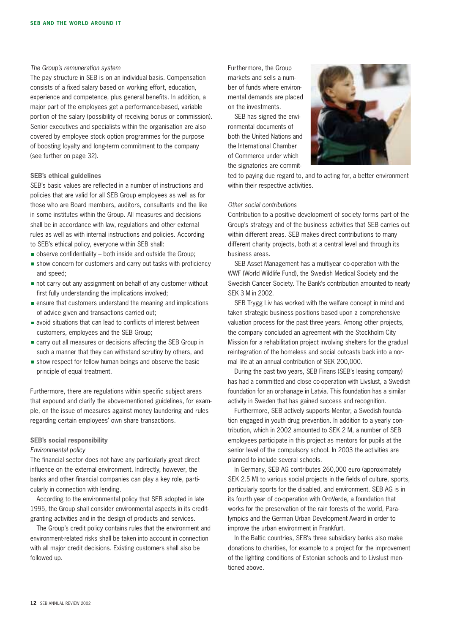#### *The Group's remuneration system*

The pay structure in SEB is on an individual basis. Compensation consists of a fixed salary based on working effort, education, experience and competence, plus general benefits. In addition, a major part of the employees get a performance-based, variable portion of the salary (possibility of receiving bonus or commission). Senior executives and specialists within the organisation are also covered by employee stock option programmes for the purpose of boosting loyalty and long-term commitment to the company (see further on page 32).

#### **SEB's ethical guidelines**

SEB's basic values are reflected in a number of instructions and policies that are valid for all SEB Group employees as well as for those who are Board members, auditors, consultants and the like in some institutes within the Group. All measures and decisions shall be in accordance with law, regulations and other external rules as well as with internal instructions and policies. According to SEB's ethical policy, everyone within SEB shall:

- $\blacksquare$  observe confidentiality both inside and outside the Group;
- show concern for customers and carry out tasks with proficiency and speed;
- not carry out any assignment on behalf of any customer without first fully understanding the implications involved;
- ensure that customers understand the meaning and implications of advice given and transactions carried out;
- avoid situations that can lead to conflicts of interest between customers, employees and the SEB Group;
- carry out all measures or decisions affecting the SEB Group in such a manner that they can withstand scrutiny by others, and
- show respect for fellow human beings and observe the basic principle of equal treatment.

Furthermore, there are regulations within specific subject areas that expound and clarify the above-mentioned guidelines, for example, on the issue of measures against money laundering and rules regarding certain employees' own share transactions.

#### **SEB's social responsibility**

#### *Environmental policy*

The financial sector does not have any particularly great direct influence on the external environment. Indirectly, however, the banks and other financial companies can play a key role, particularly in connection with lending.

According to the environmental policy that SEB adopted in late 1995, the Group shall consider environmental aspects in its creditgranting activities and in the design of products and services.

The Group's credit policy contains rules that the environment and environment-related risks shall be taken into account in connection with all major credit decisions. Existing customers shall also be followed up.

Furthermore, the Group markets and sells a number of funds where environmental demands are placed on the investments.

SEB has signed the environmental documents of both the United Nations and the International Chamber of Commerce under which the signatories are commit-



ted to paying due regard to, and to acting for, a better environment within their respective activities.

#### *Other social contributions*

Contribution to a positive development of society forms part of the Group's strategy and of the business activities that SEB carries out within different areas. SEB makes direct contributions to many different charity projects, both at a central level and through its business areas.

SEB Asset Management has a multiyear co-operation with the WWF (World Wildlife Fund), the Swedish Medical Society and the Swedish Cancer Society. The Bank's contribution amounted to nearly SEK 3 M in 2002.

SEB Trygg Liv has worked with the welfare concept in mind and taken strategic business positions based upon a comprehensive valuation process for the past three years. Among other projects, the company concluded an agreement with the Stockholm City Mission for a rehabilitation project involving shelters for the gradual reintegration of the homeless and social outcasts back into a normal life at an annual contribution of SEK 200,000.

During the past two years, SEB Finans (SEB's leasing company) has had a committed and close co-operation with Livslust, a Swedish foundation for an orphanage in Latvia. This foundation has a similar activity in Sweden that has gained success and recognition.

Furthermore, SEB actively supports Mentor, a Swedish foundation engaged in youth drug prevention. In addition to a yearly contribution, which in 2002 amounted to SEK 2 M, a number of SEB employees participate in this project as mentors for pupils at the senior level of the compulsory school. In 2003 the activities are planned to include several schools.

In Germany, SEB AG contributes 260,000 euro (approximately SEK 2.5 M) to various social projects in the fields of culture, sports, particularly sports for the disabled, and environment. SEB AG is in its fourth year of co-operation with OroVerde, a foundation that works for the preservation of the rain forests of the world, Paralympics and the German Urban Development Award in order to improve the urban environment in Frankfurt.

In the Baltic countries, SEB's three subsidiary banks also make donations to charities, for example to a project for the improvement of the lighting conditions of Estonian schools and to Livslust mentioned above.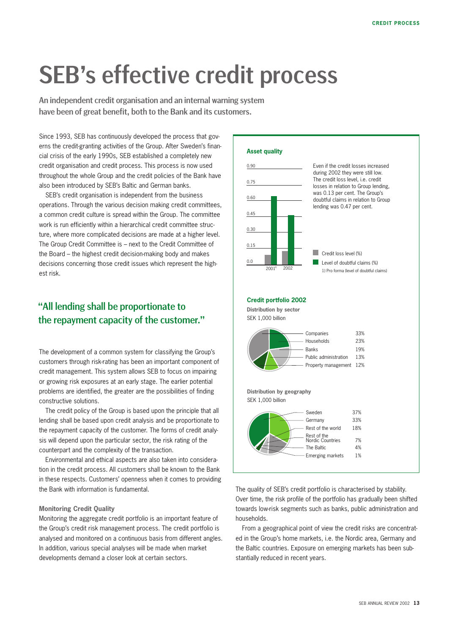# SEB's effective credit process

An independent credit organisation and an internal warning system have been of great benefit, both to the Bank and its customers.

Since 1993, SEB has continuously developed the process that governs the credit-granting activities of the Group. After Sweden's financial crisis of the early 1990s, SEB established a completely new credit organisation and credit process. This process is now used throughout the whole Group and the credit policies of the Bank have also been introduced by SEB's Baltic and German banks.

SEB's credit organisation is independent from the business operations. Through the various decision making credit committees, a common credit culture is spread within the Group. The committee work is run efficiently within a hierarchical credit committee structure, where more complicated decisions are made at a higher level. The Group Credit Committee is – next to the Credit Committee of the Board – the highest credit decision-making body and makes decisions concerning those credit issues which represent the highest risk.

#### "All lending shall be proportionate to the repayment capacity of the customer."

The development of a common system for classifying the Group's customers through risk-rating has been an important component of credit management. This system allows SEB to focus on impairing or growing risk exposures at an early stage. The earlier potential problems are identified, the greater are the possibilities of finding constructive solutions.

The credit policy of the Group is based upon the principle that all lending shall be based upon credit analysis and be proportionate to the repayment capacity of the customer. The forms of credit analysis will depend upon the particular sector, the risk rating of the counterpart and the complexity of the transaction.

Environmental and ethical aspects are also taken into consideration in the credit process. All customers shall be known to the Bank in these respects. Customers' openness when it comes to providing the Bank with information is fundamental.

#### **Monitoring Credit Quality**

Monitoring the aggregate credit portfolio is an important feature of the Group's credit risk management process. The credit portfolio is analysed and monitored on a continuous basis from different angles. In addition, various special analyses will be made when market developments demand a closer look at certain sectors.



The quality of SEB's credit portfolio is characterised by stability. Over time, the risk profile of the portfolio has gradually been shifted towards low-risk segments such as banks, public administration and households.

From a geographical point of view the credit risks are concentrated in the Group's home markets, i.e. the Nordic area, Germany and the Baltic countries. Exposure on emerging markets has been substantially reduced in recent years.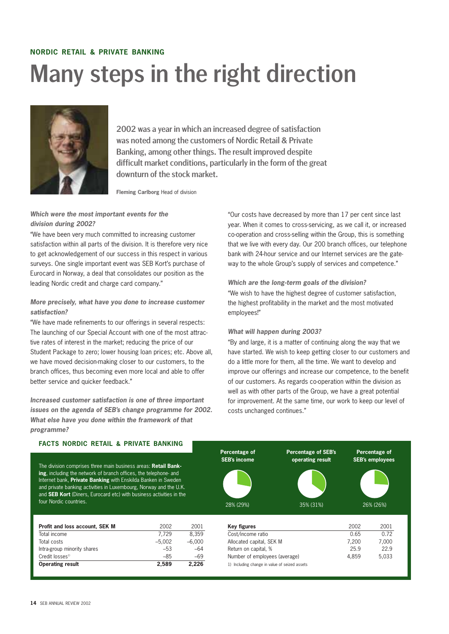### **NORDIC RETAIL & PRIVATE BANKING** Many steps in the right direction



2002 was a year in which an increased degree of satisfaction was noted among the customers of Nordic Retail & Private Banking, among other things. The result improved despite difficult market conditions, particularly in the form of the great downturn of the stock market.

**Fleming Carlborg** Head of division

#### *Which were the most important events for the division during 2002?*

"We have been very much committed to increasing customer satisfaction within all parts of the division. It is therefore very nice to get acknowledgement of our success in this respect in various surveys. One single important event was SEB Kort's purchase of Eurocard in Norway, a deal that consolidates our position as the leading Nordic credit and charge card company."

#### *More precisely, what have you done to increase customer satisfaction?*

"We have made refinements to our offerings in several respects: The launching of our Special Account with one of the most attractive rates of interest in the market; reducing the price of our Student Package to zero; lower housing loan prices; etc. Above all, we have moved decision-making closer to our customers, to the branch offices, thus becoming even more local and able to offer better service and quicker feedback."

*Increased customer satisfaction is one of three important issues on the agenda of SEB's change programme for 2002. What else have you done within the framework of that programme?*

"Our costs have decreased by more than 17 per cent since last year. When it comes to cross-servicing, as we call it, or increased co-operation and cross-selling within the Group, this is something that we live with every day. Our 200 branch offices, our telephone bank with 24-hour service and our Internet services are the gateway to the whole Group's supply of services and competence."

#### *Which are the long-term goals of the division?* "We wish to have the highest degree of customer satisfaction, the highest profitability in the market and the most motivated employees!"

#### *What will happen during 2003?*

"By and large, it is a matter of continuing along the way that we have started. We wish to keep getting closer to our customers and do a little more for them, all the time. We want to develop and improve our offerings and increase our competence, to the benefit of our customers. As regards co-operation within the division as well as with other parts of the Group, we have a great potential for improvement. At the same time, our work to keep our level of costs unchanged continues."

| <b>FACTS NORDIC RETAIL &amp; PRIVATE BANKING</b><br>The division comprises three main business areas: <b>Retail Bank-</b><br>ing, including the network of branch offices, the telephone- and<br>Internet bank, Private Banking with Enskilda Banken in Sweden<br>and private banking activities in Luxembourg, Norway and the U.K.<br>and <b>SEB Kort</b> (Diners, Eurocard etc) with business activities in the<br>four Nordic countries. |          |          | Percentage of                                 | <b>Percentage of SEB's</b>    |       |                                                      |
|---------------------------------------------------------------------------------------------------------------------------------------------------------------------------------------------------------------------------------------------------------------------------------------------------------------------------------------------------------------------------------------------------------------------------------------------|----------|----------|-----------------------------------------------|-------------------------------|-------|------------------------------------------------------|
|                                                                                                                                                                                                                                                                                                                                                                                                                                             |          |          | <b>SEB's income</b><br>28% (29%)              | operating result<br>35% (31%) |       | Percentage of<br><b>SEB's employees</b><br>26% (26%) |
| Profit and loss account. SEK M                                                                                                                                                                                                                                                                                                                                                                                                              | 2002     | 2001     | <b>Key figures</b>                            |                               | 2002  | 2001                                                 |
| Total income                                                                                                                                                                                                                                                                                                                                                                                                                                | 7.729    | 8,359    | Cost/income ratio                             |                               | 0.65  | 0.72                                                 |
| Total costs                                                                                                                                                                                                                                                                                                                                                                                                                                 | $-5,002$ | $-6,000$ | Allocated capital, SEK M                      |                               | 7.200 | 7,000                                                |
| Intra-group minority shares                                                                                                                                                                                                                                                                                                                                                                                                                 | $-53$    | $-64$    | Return on capital, %                          |                               | 25.9  | 22.9                                                 |
| Credit losses <sup>1)</sup>                                                                                                                                                                                                                                                                                                                                                                                                                 | $-85$    | $-69$    | Number of employees (average)                 |                               | 4,859 | 5,033                                                |
| <b>Operating result</b>                                                                                                                                                                                                                                                                                                                                                                                                                     | 2,589    | 2,226    | 1) Including change in value of seized assets |                               |       |                                                      |
|                                                                                                                                                                                                                                                                                                                                                                                                                                             |          |          |                                               |                               |       |                                                      |

#### **FACTS NORDIC RETAIL & PRIVATE BANKING**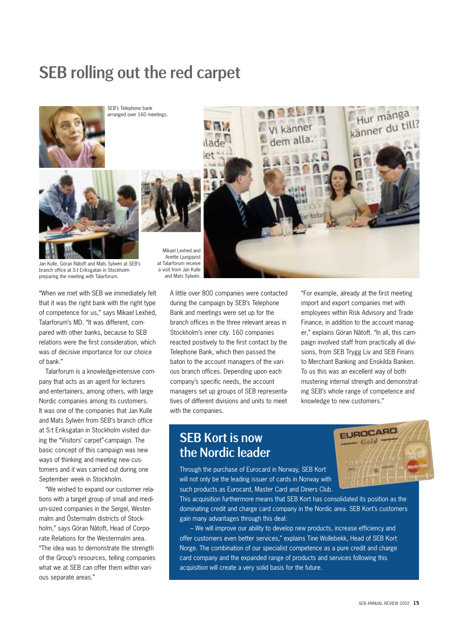### SEB rolling out the red carpet



SEB's Telephone bank arranged over 160 meetings.





Jan Kulle, Göran Nåtoft and Mats Sylwén at SEB's branch office at S:t Eriksgatan in Stockholm preparing the meeting with Talarforum.

"When we met with SEB we immediately felt that it was the right bank with the right type of competence for us," says Mikael Lexhed, Talarforum's MD. "It was different, compared with other banks, because to SEB relations were the first consideration, which was of decisive importance for our choice of bank."

Talarforum is a knowledge-intensive company that acts as an agent for lecturers and entertainers, among others, with large Nordic companies among its customers. It was one of the companies that Jan Kulle and Mats Sylwén from SEB's branch office at S:t Eriksgatan in Stockholm visited during the "Visitors' carpet"-campaign. The basic concept of this campaign was new ways of thinking and meeting new customers and it was carried out during one September week in Stockholm.

"We wished to expand our customer relations with a target group of small and medium-sized companies in the Sergel, Westermalm and Östermalm districts of Stockholm," says Göran Nåtoft, Head of Corporate Relations for the Westermalm area. "The idea was to demonstrate the strength of the Group's resources, telling companies what we at SEB can offer them within various separate areas."

Mikael Lexhed and Anette Ljungqvist at Talarforum receive a visit from Jan Kulle and Mats Sylwén.

A little over 800 companies were contacted during the campaign by SEB's Telephone Bank and meetings were set up for the branch offices in the three relevant areas in Stockholm's inner city. 160 companies reacted positively to the first contact by the Telephone Bank, which then passed the baton to the account managers of the various branch offices. Depending upon each company's specific needs, the account managers set up groups of SEB representatives of different divisions and units to meet with the companies.

"For example, already at the first meeting import and export companies met with employees within Risk Advisory and Trade Finance, in addition to the account manager," explains Göran Nåtoft. "In all, this campaign involved staff from practically all divisions, from SEB Trygg Liv and SEB Finans to Merchant Banking and Enskilda Banken. To us this was an excellent way of both

### SEB Kort is now the Nordic leader



Through the purchase of Eurocard in Norway, SEB Kort will not only be the leading issuer of cards in Norway with such products as Eurocard, Master Card and Diners Club.

This acquisition furthermore means that SEB Kort has consolidated its position as the dominating credit and charge card company in the Nordic area. SEB Kort's customers gain many advantages through this deal:

– We will improve our ability to develop new products, increase efficiency and offer customers even better services," explains Tine Wollebekk, Head of SEB Kort Norge. The combination of our specialist competence as a pure credit and charge card company and the expanded range of products and services following this acquisition will create a very solid basis for the future.





dem alla.

Hur många Känner du till?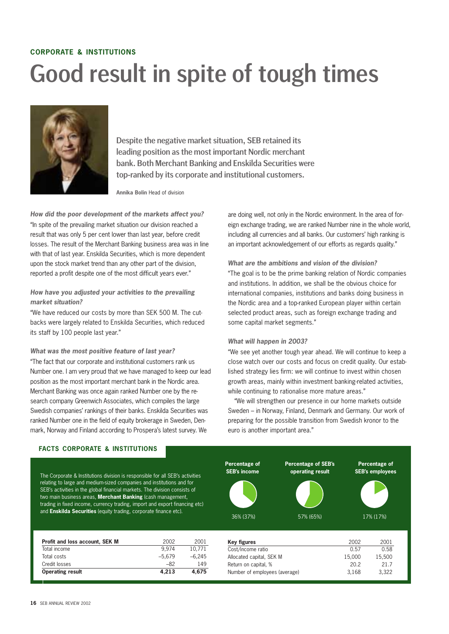### **CORPORATE & INSTITUTIONS** Good result in spite of tough times



Despite the negative market situation, SEB retained its leading position as the most important Nordic merchant bank. Both Merchant Banking and Enskilda Securities were top-ranked by its corporate and institutional customers.

**Annika Bolin** Head of division

*How did the poor development of the markets affect you?* "In spite of the prevailing market situation our division reached a result that was only 5 per cent lower than last year, before credit losses. The result of the Merchant Banking business area was in line with that of last year. Enskilda Securities, which is more dependent upon the stock market trend than any other part of the division, reported a profit despite one of the most difficult years ever."

#### *How have you adjusted your activities to the prevailing market situation?*

"We have reduced our costs by more than SEK 500 M. The cutbacks were largely related to Enskilda Securities, which reduced its staff by 100 people last year."

#### *What was the most positive feature of last year?*

"The fact that our corporate and institutional customers rank us Number one. I am very proud that we have managed to keep our lead position as the most important merchant bank in the Nordic area. Merchant Banking was once again ranked Number one by the research company Greenwich Associates, which compiles the large Swedish companies' rankings of their banks. Enskilda Securities was ranked Number one in the field of equity brokerage in Sweden, Denmark, Norway and Finland according to Prospera's latest survey. We

are doing well, not only in the Nordic environment. In the area of foreign exchange trading, we are ranked Number nine in the whole world, including all currencies and all banks. Our customers' high ranking is an important acknowledgement of our efforts as regards quality."

#### *What are the ambitions and vision of the division?*

"The goal is to be the prime banking relation of Nordic companies and institutions. In addition, we shall be the obvious choice for international companies, institutions and banks doing business in the Nordic area and a top-ranked European player within certain selected product areas, such as foreign exchange trading and some capital market segments."

#### *What will happen in 2003?*

"We see yet another tough year ahead. We will continue to keep a close watch over our costs and focus on credit quality. Our established strategy lies firm: we will continue to invest within chosen growth areas, mainly within investment banking-related activities, while continuing to rationalise more mature areas."

"We will strengthen our presence in our home markets outside Sweden – in Norway, Finland, Denmark and Germany. Our work of preparing for the possible transition from Swedish kronor to the euro is another important area."

#### **FACTS CORPORATE & INSTITUTIONS**

The Corporate & Institutions division is responsible for all SEB's activities relating to large and medium-sized companies and institutions and for SEB's activities in the global financial markets. The division consists of two main business areas, **Merchant Banking** (cash management, trading in fixed income, currency trading, import and export financing etc) and **Enskilda Securities** (equity trading, corporate finance etc).

| <b>Operating result</b>        | 4.213    | 4.675    |
|--------------------------------|----------|----------|
| Credit losses                  | $-82$    | 149      |
| Total costs                    | $-5.679$ | $-6.245$ |
| Total income                   | 9.974    | 10.771   |
| Profit and loss account, SEK M | 2002     | 2001     |

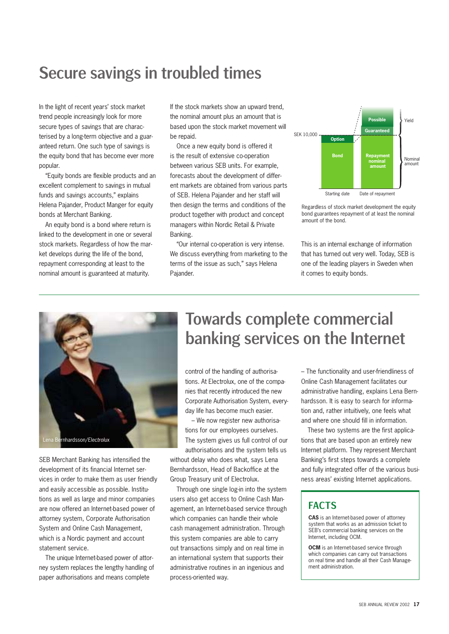### Secure savings in troubled times

In the light of recent years' stock market trend people increasingly look for more secure types of savings that are characterised by a long-term objective and a guaranteed return. One such type of savings is the equity bond that has become ever more popular.

"Equity bonds are flexible products and an excellent complement to savings in mutual funds and savings accounts," explains Helena Pajander, Product Manger for equity bonds at Merchant Banking.

An equity bond is a bond where return is linked to the development in one or several stock markets. Regardless of how the market develops during the life of the bond, repayment corresponding at least to the nominal amount is guaranteed at maturity.

If the stock markets show an upward trend, the nominal amount plus an amount that is based upon the stock market movement will be repaid.

Once a new equity bond is offered it is the result of extensive co-operation between various SEB units. For example, forecasts about the development of different markets are obtained from various parts of SEB. Helena Pajander and her staff will then design the terms and conditions of the product together with product and concept managers within Nordic Retail & Private Banking.

"Our internal co-operation is very intense. We discuss everything from marketing to the terms of the issue as such," says Helena Pajander.



Regardless of stock market development the equity bond guarantees repayment of at least the nominal amount of the bond.

This is an internal exchange of information that has turned out very well. Today, SEB is one of the leading players in Sweden when it comes to equity bonds.



SEB Merchant Banking has intensified the development of its financial Internet services in order to make them as user friendly and easily accessible as possible. Institutions as well as large and minor companies are now offered an Internet-based power of attorney system, Corporate Authorisation System and Online Cash Management, which is a Nordic payment and account statement service.

The unique Internet-based power of attorney system replaces the lengthy handling of paper authorisations and means complete

### Towards complete commercial banking services on the Internet

control of the handling of authorisations. At Electrolux, one of the companies that recently introduced the new Corporate Authorisation System, everyday life has become much easier.

– We now register new authorisations for our employees ourselves. The system gives us full control of our authorisations and the system tells us

without delay who does what, says Lena Bernhardsson, Head of Backoffice at the Group Treasury unit of Electrolux.

Through one single log-in into the system users also get access to Online Cash Management, an Internet-based service through which companies can handle their whole cash management administration. Through this system companies are able to carry out transactions simply and on real time in an international system that supports their administrative routines in an ingenious and process-oriented way.

– The functionality and user-friendliness of Online Cash Management facilitates our administrative handling, explains Lena Bernhardsson. It is easy to search for information and, rather intuitively, one feels what and where one should fill in information.

These two systems are the first applications that are based upon an entirely new Internet platform. They represent Merchant Banking's first steps towards a complete and fully integrated offer of the various business areas' existing Internet applications.

#### FACTS

**CAS** is an Internet-based power of attorney system that works as an admission ticket to SEB's commercial banking services on the Internet, including OCM.

**OCM** is an Internet-based service through which companies can carry out transactions on real time and handle all their Cash Management administration.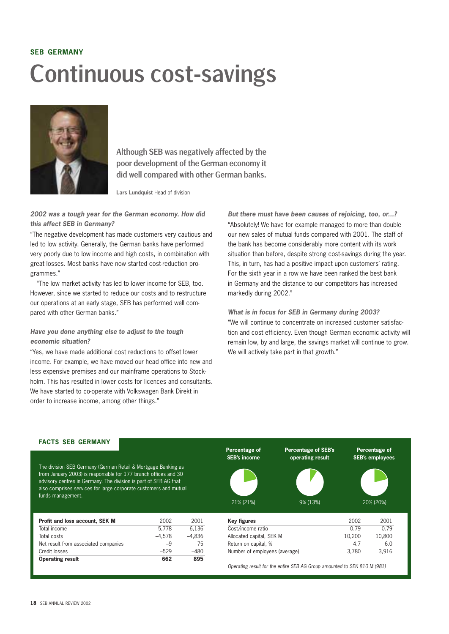# **SEB GERMANY** Continuous cost-savings



Although SEB was negatively affected by the poor development of the German economy it did well compared with other German banks.

**Lars Lundquist** Head of division

#### *2002 was a tough year for the German economy. How did this affect SEB in Germany?*

"The negative development has made customers very cautious and led to low activity. Generally, the German banks have performed very poorly due to low income and high costs, in combination with great losses. Most banks have now started cost-reduction programmes."

"The low market activity has led to lower income for SEB, too. However, since we started to reduce our costs and to restructure our operations at an early stage, SEB has performed well compared with other German banks."

#### *Have you done anything else to adjust to the tough economic situation?*

"Yes, we have made additional cost reductions to offset lower income. For example, we have moved our head office into new and less expensive premises and our mainframe operations to Stockholm. This has resulted in lower costs for licences and consultants. We have started to co-operate with Volkswagen Bank Direkt in order to increase income, among other things."

*But there must have been causes of rejoicing, too, or...?* "Absolutely! We have for example managed to more than double our new sales of mutual funds compared with 2001. The staff of the bank has become considerably more content with its work situation than before, despite strong cost-savings during the year. This, in turn, has had a positive impact upon customers' rating. For the sixth year in a row we have been ranked the best bank in Germany and the distance to our competitors has increased markedly during 2002."

#### *What is in focus for SEB in Germany during 2003?* "We will continue to concentrate on increased customer satisfaction and cost efficiency. Even though German economic activity will remain low, by and large, the savings market will continue to grow. We will actively take part in that growth."

#### **FACTS SEB GERMANY**

The division SEB Germany (German Retail & Mortgage Banking as from January 2003) is responsible for 177 branch offices and 30 advisory centres in Germany. The division is part of SEB AG that also comprises services for large corporate customers and mutual funds management.

| Profit and loss account, SEK M       | 2002     | 2001     |
|--------------------------------------|----------|----------|
| Total income                         | 5.778    | 6.136    |
| Total costs                          | $-4.578$ | $-4.836$ |
| Net result from associated companies | $-9$     | 75       |
| Credit losses                        | $-529$   | -480     |
| <b>Operating result</b>              | 662      | 895      |



*Operating result for the entire SEB AG Group amounted to SEK 810 M (981)*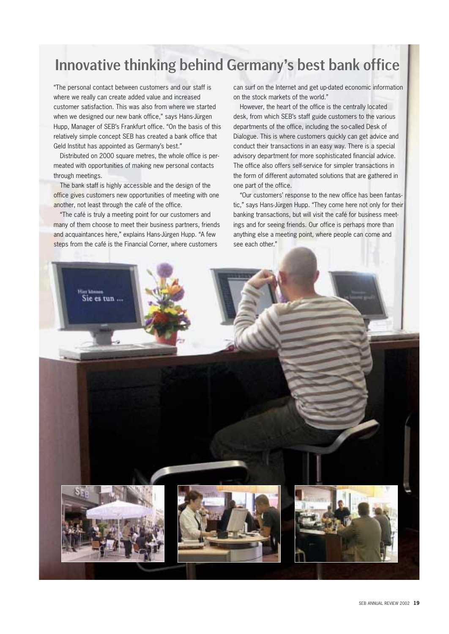### Innovative thinking behind Germany's best bank office

"The personal contact between customers and our staff is where we really can create added value and increased customer satisfaction. This was also from where we started when we designed our new bank office," says Hans-Jürgen Hupp, Manager of SEB's Frankfurt office. "On the basis of this relatively simple concept SEB has created a bank office that Geld Institut has appointed as Germany's best."

Distributed on 2000 square metres, the whole office is permeated with opportunities of making new personal contacts through meetings.

The bank staff is highly accessible and the design of the office gives customers new opportunities of meeting with one another, not least through the café of the office.

"The café is truly a meeting point for our customers and many of them choose to meet their business partners, friends and acquaintances here," explains Hans-Jürgen Hupp. "A few steps from the café is the Financial Corner, where customers

can surf on the Internet and get up-dated economic information on the stock markets of the world."

However, the heart of the office is the centrally located desk, from which SEB's staff guide customers to the various departments of the office, including the so-called Desk of Dialogue. This is where customers quickly can get advice and conduct their transactions in an easy way. There is a special advisory department for more sophisticated financial advice. The office also offers self-service for simpler transactions in the form of different automated solutions that are gathered in one part of the office.

"Our customers' response to the new office has been fantastic," says Hans-Jürgen Hupp. "They come here not only for their banking transactions, but will visit the café for business meetings and for seeing friends. Our office is perhaps more than anything else a meeting point, where people can come and see each other."

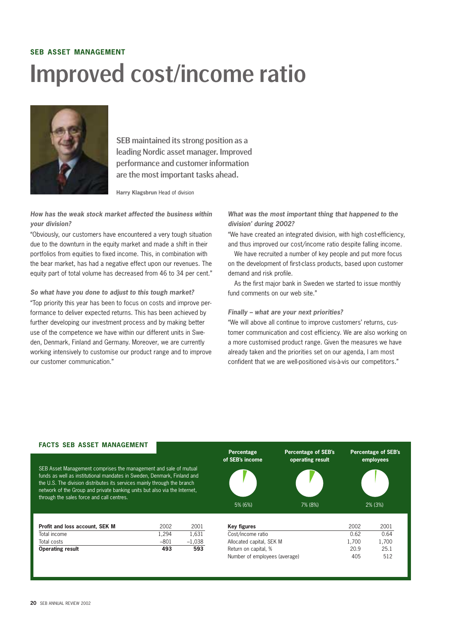### **SEB ASSET MANAGEMENT** Improved cost/income ratio



SEB maintained its strong position as a leading Nordic asset manager. Improved performance and customer information are the most important tasks ahead.

**Harry Klagsbrun** Head of division

*How has the weak stock market affected the business within your division?*

"Obviously, our customers have encountered a very tough situation due to the downturn in the equity market and made a shift in their portfolios from equities to fixed income. This, in combination with the bear market, has had a negative effect upon our revenues. The equity part of total volume has decreased from 46 to 34 per cent."

*So what have you done to adjust to this tough market?* "Top priority this year has been to focus on costs and improve performance to deliver expected returns. This has been achieved by further developing our investment process and by making better use of the competence we have within our different units in Sweden, Denmark, Finland and Germany. Moreover, we are currently working intensively to customise our product range and to improve our customer communication."

*What was the most important thing that happened to the division' during 2002?*

"We have created an integrated division, with high cost-efficiency, and thus improved our cost/income ratio despite falling income.

We have recruited a number of key people and put more focus on the development of first-class products, based upon customer demand and risk profile.

As the first major bank in Sweden we started to issue monthly fund comments on our web site."

#### *Finally – what are your next priorities?*

"We will above all continue to improve customers' returns, customer communication and cost efficiency. We are also working on a more customised product range. Given the measures we have already taken and the priorities set on our agenda, I am most confident that we are well-positioned vis-à-vis our competitors."

#### **FACTS SEB ASSET MANAGEMENT**

SEB Asset Management comprises the management and sale of mutual funds as well as institutional mandates in Sweden, Denmark, Finland and the U.S. The division distributes its services mainly through the branch network of the Group and private banking units but also via the Internet, through the sales force and call centres.

| <b>Operating result</b>        | 493   | 593      |
|--------------------------------|-------|----------|
| Total costs                    | -801  | $-1.038$ |
| Total income                   | 1.294 | 1.631    |
| Profit and loss account, SEK M | 2002  | 2001     |

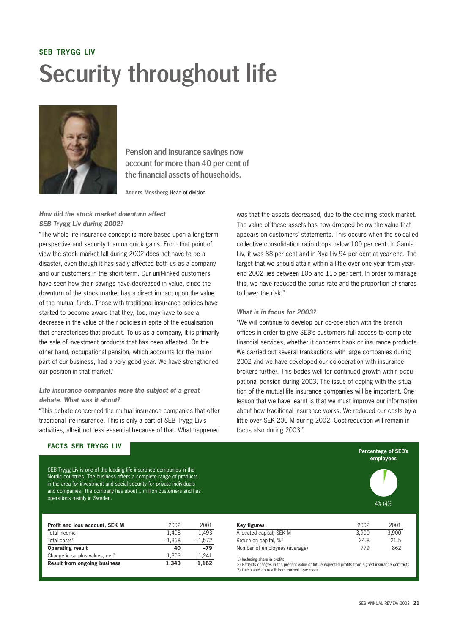# **SEB TRYGG LIV** Security throughout life



Pension and insurance savings now account for more than 40 per cent of the financial assets of households.

**Anders Mossberg** Head of division

#### *How did the stock market downturn affect SEB Trygg Liv during 2002?*

"The whole life insurance concept is more based upon a long-term perspective and security than on quick gains. From that point of view the stock market fall during 2002 does not have to be a disaster, even though it has sadly affected both us as a company and our customers in the short term. Our unit-linked customers have seen how their savings have decreased in value, since the downturn of the stock market has a direct impact upon the value of the mutual funds. Those with traditional insurance policies have started to become aware that they, too, may have to see a decrease in the value of their policies in spite of the equalisation that characterises that product. To us as a company, it is primarily the sale of investment products that has been affected. On the other hand, occupational pension, which accounts for the major part of our business, had a very good year. We have strengthened our position in that market."

#### *Life insurance companies were the subject of a great debate. What was it about?*

"This debate concerned the mutual insurance companies that offer traditional life insurance. This is only a part of SEB Trygg Liv's activities, albeit not less essential because of that. What happened was that the assets decreased, due to the declining stock market. The value of these assets has now dropped below the value that appears on customers' statements. This occurs when the so-called collective consolidation ratio drops below 100 per cent. In Gamla Liv, it was 88 per cent and in Nya Liv 94 per cent at year-end. The target that we should attain within a little over one year from yearend 2002 lies between 105 and 115 per cent. In order to manage this, we have reduced the bonus rate and the proportion of shares to lower the risk."

#### *What is in focus for 2003?*

"We will continue to develop our co-operation with the branch offices in order to give SEB's customers full access to complete financial services, whether it concerns bank or insurance products. We carried out several transactions with large companies during 2002 and we have developed our co-operation with insurance brokers further. This bodes well for continued growth within occupational pension during 2003. The issue of coping with the situation of the mutual life insurance companies will be important. One lesson that we have learnt is that we must improve our information about how traditional insurance works. We reduced our costs by a little over SEK 200 M during 2002. Cost-reduction will remain in focus also during 2003."

#### **FACTS SEB TRYGG LIV**

SEB Trygg Liv is one of the leading life insurance companies in the Nordic countries. The business offers a complete range of products in the area for investment and social security for private individuals and companies. The company has about 1 million customers and has operations mainly in Sweden.

| Profit and loss account, SEK M              | 2002     | 2001     |
|---------------------------------------------|----------|----------|
| Total income                                | 1.408    | 1.493    |
| Total costs <sup>1)</sup>                   | $-1.368$ | $-1.572$ |
| <b>Operating result</b>                     | 40       | $-79$    |
| Change in surplus values, net <sup>2)</sup> | 1.303    | 1.241    |
| <b>Result from ongoing business</b>         | 1.343    | 1.162    |

| Key figures                        | 2002  | 2001  |
|------------------------------------|-------|-------|
| Allocated capital, SEK M           | 3.900 | 3.900 |
| Return on capital, % <sup>3)</sup> | 24.8  | 21.5  |
| Number of employees (average)      | 779   | 862   |

1) Including share in profits

2) Reflects changes in the present value of future expected profits from signed insurance contracts 3) Calculated on result from current operations

4% (4%)

**Percentage of SEB's employees**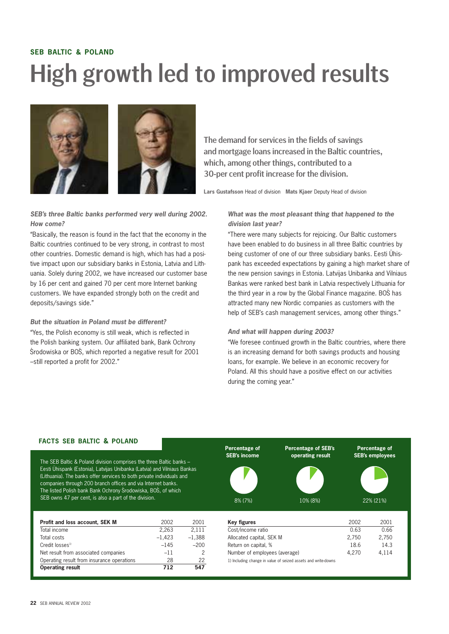# **SEB BALTIC & POLAND** High growth led to improved results



*SEB's three Baltic banks performed very well during 2002. How come?*

"Basically, the reason is found in the fact that the economy in the Baltic countries continued to be very strong, in contrast to most other countries. Domestic demand is high, which has had a positive impact upon our subsidiary banks in Estonia, Latvia and Lithuania. Solely during 2002, we have increased our customer base by 16 per cent and gained 70 per cent more Internet banking customers. We have expanded strongly both on the credit and deposits/savings side."

*But the situation in Poland must be different?* "Yes, the Polish economy is still weak, which is reflected in the Polish banking system. Our affiliated bank, Bank Ochrony Środowiska or BOŚ, which reported a negative result for 2001 –still reported a profit for 2002."

The demand for services in the fields of savings and mortgage loans increased in the Baltic countries, which, among other things, contributed to a 30-per cent profit increase for the division.

**Lars Gustafsson** Head of division **Mats Kjaer** Deputy Head of division

*What was the most pleasant thing that happened to the division last year?*

"There were many subjects for rejoicing. Our Baltic customers have been enabled to do business in all three Baltic countries by being customer of one of our three subsidiary banks. Eesti Ühispank has exceeded expectations by gaining a high market share of the new pension savings in Estonia. Latvijas Unibanka and Vilniaus Bankas were ranked best bank in Latvia respectively Lithuania for the third year in a row by the Global Finance magazine. BOS has ´ attracted many new Nordic companies as customers with the help of SEB's cash management services, among other things."

#### *And what will happen during 2003?*

"We foresee continued growth in the Baltic countries, where there is an increasing demand for both savings products and housing loans, for example. We believe in an economic recovery for Poland. All this should have a positive effect on our activities during the coming year."

#### **FACTS SEB BALTIC & POLAND**

The SEB Baltic & Poland division comprises the three Baltic banks – Eesti Ühispank (Estonia), Latvijas Unibanka (Latvia) and Vilniaus Bankas (Lithuania). The banks offer services to both private individuals and companies through 200 branch offices and via Internet banks. The listed Polish bank Bank Ochrony Srodowiska, BOS, of which

| <b>Operating result</b>                    | 712<br>547 |
|--------------------------------------------|------------|
| Operating result from insurance operations | 28<br>22   |
| Net result from associated companies       | $-11$      |
| Credit losses <sup>1)</sup><br>$-145$      | $-200$     |
| $-1,423$<br>Total costs                    | $-1,388$   |
| 2,263<br>Total income                      | 2,111      |
| Profit and loss account, SEK M<br>2002     | 2001       |
|                                            |            |

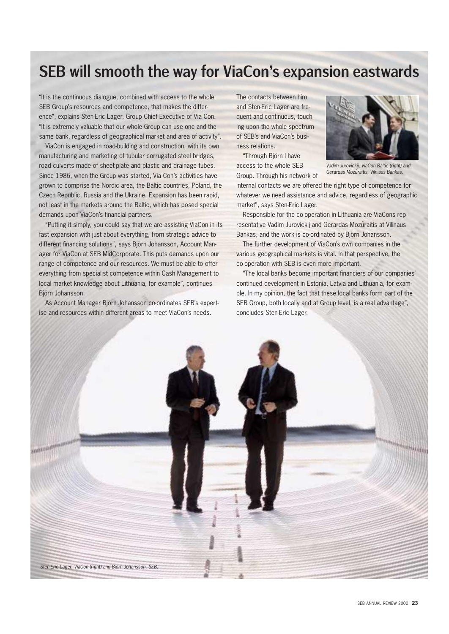### SEB will smooth the way for ViaCon's expansion eastwards

"It is the continuous dialogue, combined with access to the whole SEB Group's resources and competence, that makes the difference", explains Sten-Eric Lager, Group Chief Executive of Via Con. "It is extremely valuable that our whole Group can use one and the same bank, regardless of geographical market and area of activity".

ViaCon is engaged in road-building and construction, with its own manufacturing and marketing of tubular corrugated steel bridges, road culverts made of sheet-plate and plastic and drainage tubes. Since 1986, when the Group was started, Via Con's activities have grown to comprise the Nordic area, the Baltic countries, Poland, the Czech Republic, Russia and the Ukraine. Expansion has been rapid, not least in the markets around the Baltic, which has posed special demands upon ViaCon's financial partners.

"Putting it simply, you could say that we are assisting ViaCon in its fast expansion with just about everything, from strategic advice to different financing solutions", says Björn Johansson, Account Manager for ViaCon at SEB MidCorporate. This puts demands upon our range of competence and our resources. We must be able to offer everything from specialist competence within Cash Management to local market knowledge about Lithuania, for example", continues Björn Johansson.

As Account Manager Björn Johansson co-ordinates SEB's expertise and resources within different areas to meet ViaCon's needs.

The contacts between him and Sten-Eric Lager are frequent and continuous, touching upon the whole spectrum of SEB's and ViaCon's business relations.

"Through Björn I have access to the whole SEB

Group. Through his network of



*Vadim Jurovickij, ViaCon Baltic (right) and Gerardas Mozu-raitis, Vilniaus Bankas.*

internal contacts we are offered the right type of competence for whatever we need assistance and advice, regardless of geographic market", says Sten-Eric Lager.

Responsible for the co-operation in Lithuania are ViaCons representative Vadim Jurovickij and Gerardas Mozūraitis at Vilinaus Bankas, and the work is co-ordinated by Björn Johansson.

The further development of ViaCon's own companies in the various geographical markets is vital. In that perspective, the co-operation with SEB is even more important.

"The local banks become important financiers of our companies' continued development in Estonia, Latvia and Lithuania, for example. In my opinion, the fact that these local banks form part of the SEB Group, both locally and at Group level, is a real advantage", concludes Sten-Eric Lager.

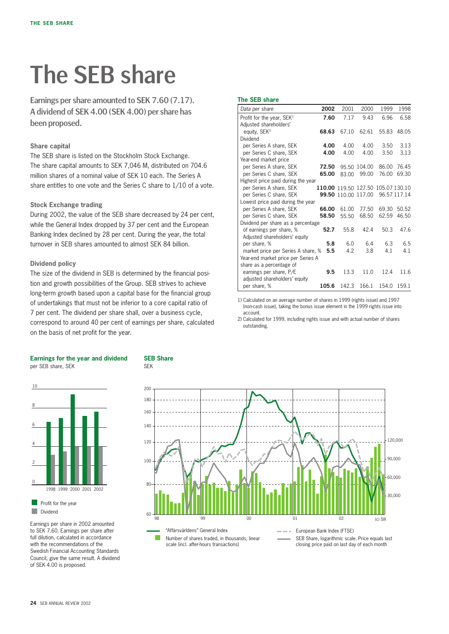# The SEB share

Earnings per share amounted to SEK 7.60 (7.17). A dividend of SEK 4.00 (SEK 4.00) per share has been proposed.

#### **Share capital**

The SEB share is listed on the Stockholm Stock Exchange. The share capital amounts to SEK 7,046 M, distributed on 704.6 million shares of a nominal value of SEK 10 each. The Series A share entitles to one vote and the Series C share to 1/10 of a vote.

#### **Stock Exchange trading**

During 2002, the value of the SEB share decreased by 24 per cent, while the General Index dropped by 37 per cent and the European Banking Index declined by 28 per cent. During the year, the total turnover in SEB shares amounted to almost SEK 84 billion.

#### **Dividend policy**

The size of the dividend in SEB is determined by the financial position and growth possibilities of the Group. SEB strives to achieve long-term growth based upon a capital base for the financial group of undertakings that must not be inferior to a core capital ratio of 7 per cent. The dividend per share shall, over a business cycle, correspond to around 40 per cent of earnings per share, calculated on the basis of net profit for the year.

#### **The SEB share**

| Data per share                         | 2002  | 2001                               | 2000   | 1999  | 1998         |
|----------------------------------------|-------|------------------------------------|--------|-------|--------------|
| Profit for the year, SEK <sup>1)</sup> | 7.60  | 7.17                               | 9.43   | 6.96  | 6.58         |
| Adjusted shareholders'                 |       |                                    |        |       |              |
| equity, SEK <sup>2)</sup>              | 68.63 | 67.10                              | 62.61  | 55.83 | 48.05        |
| Dividend                               |       |                                    |        |       |              |
| per Series A share, SEK                | 4.00  | 4.00                               | 4.00   | 3.50  | 3.13         |
| per Series C share, SEK                | 4.00  | 4.00                               | 4.00   | 3.50  | 3.13         |
| Year-end market price                  |       |                                    |        |       |              |
| per Series A share, SEK                | 72.50 | 95.50                              | 104.00 | 86.00 | 76.45        |
| per Series C share, SEK                | 65.00 | 83.00                              | 99.00  | 76.00 | 69.30        |
| Highest price paid during the year     |       |                                    |        |       |              |
| per Series A share, SEK                |       | 110.00 119.50 127.50 105.07 130.10 |        |       |              |
| per Series C share, SEK                |       | 99.50 110.00                       | 117.00 |       | 96.57 117.14 |
| Lowest price paid during the year      |       |                                    |        |       |              |
| per Series A share, SEK                | 66.00 | 61.00                              | 77.50  | 69.30 | 50.52        |
| per Series C share, SEK                | 58.50 | 55.50                              | 68.50  | 62.59 | 46.50        |
| Dividend per share as a percentage     |       |                                    |        |       |              |
| of earnings per share, %               | 52.7  | 55.8                               | 42.4   | 50.3  | 47.6         |
| Adjusted shareholders' equity          |       |                                    |        |       |              |
| per share, %                           | 5.8   | 6.0                                | 6.4    | 6.3   | 6.5          |
| market price per Series A share, %     | 5.5   | 4.2                                | 3.8    | 4.1   | 4.1          |
| Year-end market price per Series A     |       |                                    |        |       |              |
| share as a percentage of               | 9.5   | 13.3                               | 11.0   | 12.4  | 11.6         |
| earnings per share, P/E                |       |                                    |        |       |              |
| adjusted shareholders' equity          | 105.6 | 142.3                              | 166.1  | 154.0 | 159.1        |
| per share, %                           |       |                                    |        |       |              |

1) Calculated on an average number of shares in 1999 (rights issue) and 1997 (non-cash issue), taking the bonus issue element in the 1999 rights issue into account.

2) Calculated for 1999, including rights issue and with actual number of shares outstanding.



**SEB Share**

SEK



Earnings per share in 2002 amounted to SEK 7.60. Earnings per share after full dilution, calculated in accordance with the recommendations of the Swedish Financial Accounting Standards Council, give the same result. A dividend of SEK 4.00 is proposed.

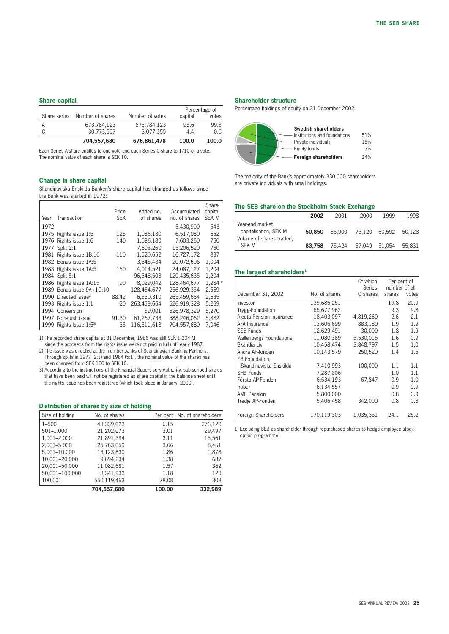#### **Share capital**

|              | 704,557,680      | 676,861,478     | 100.0   | 100.0         |
|--------------|------------------|-----------------|---------|---------------|
|              | 30.773.557       | 3.077.355       | 4.4     | 0.5           |
| ΙA           | 673.784.123      | 673.784.123     | 95.6    | 99.5          |
| Share series | Number of shares | Number of votes | capital | votes         |
|              |                  |                 |         | Percentage of |

Each Series A-share entitles to one vote and each Series C-share to 1/10 of a vote. The nominal value of each share is SEK 10.

#### **Change in share capital**

Skandinaviska Enskilda Banken's share capital has changed as follows since the Bank was started in 1972:

| Year | Transaction                       | Price<br><b>SEK</b> | Added no.<br>of shares | Accumulated<br>no. of shares | Share-<br>capital<br><b>SEK M</b> |
|------|-----------------------------------|---------------------|------------------------|------------------------------|-----------------------------------|
| 1972 |                                   |                     |                        | 5,430,900                    | 543                               |
| 1975 | Rights issue 1:5                  | 125                 | 1,086,180              | 6.517.080                    | 652                               |
|      | 1976 Rights issue 1:6             | 140                 | 1.086.180              | 7,603,260                    | 760                               |
| 1977 | Split 2:1                         |                     | 7.603.260              | 15.206.520                   | 760                               |
| 1981 | Rights issue 1B:10                | 110                 | 1,520,652              | 16.727.172                   | 837                               |
|      | 1982 Bonus issue 1A:5             |                     | 3.345.434              | 20,072,606                   | 1,004                             |
|      | 1983 Rights issue 1A:5            | 160                 | 4.014.521              | 24.087.127                   | 1.204                             |
|      | 1984 Split 5:1                    |                     | 96.348.508             | 120.435.635                  | 1.204                             |
|      | 1986 Rights issue 1A:15           | 90                  | 8.029.042              | 128.464.677                  | $1.284^{11}$                      |
| 1989 | Bonus issue 9A+1C:10              |                     | 128.464.677            | 256.929.354                  | 2,569                             |
|      | 1990 Directed issue <sup>2)</sup> | 88.42               | 6.530.310              | 263.459.664                  | 2,635                             |
| 1993 | Rights issue 1:1                  | 20                  | 263.459.664            | 526.919.328                  | 5,269                             |
|      | 1994 Conversion                   |                     | 59,001                 | 526,978,329                  | 5,270                             |
|      | 1997 Non-cash issue               | 91.30               | 61,267,733             | 588,246,062                  | 5,882                             |
| 1999 | Rights Issue 1:5 <sup>3)</sup>    | 35                  | 116.311.618            | 704,557,680                  | 7,046                             |

1) The recorded share capital at 31 December, 1986 was still SEK 1,204 M,

since the proceeds from the rights issue were not paid in full until early 1987. 2) The issue was directed at the member-banks of Scandinavian Banking Partners. Through splits in 1977 (2:1) and 1984 (5:1), the nominal value of the shares has been changed from SEK 100 to SEK 10.

3) According to the instructions of the Financial Supervisory Authority, sub-scribed shares that have been paid will not be registered as share capital in the balance sheet until the rights issue has been registered (which took place in January, 2000).

#### **Distribution of shares by size of holding**

| Size of holding | No. of shares |        | Per cent No. of shareholders |
|-----------------|---------------|--------|------------------------------|
| $1 - 500$       | 43.339.023    | 6.15   | 276.120                      |
| 501-1.000       | 21,202,073    | 3.01   | 29.497                       |
| 1,001-2,000     | 21,891,384    | 3.11   | 15,561                       |
| 2,001-5,000     | 25,763,059    | 3.66   | 8.461                        |
| 5,001-10,000    | 13,123,830    | 1.86   | 1,878                        |
| 10,001-20,000   | 9.694.234     | 1.38   | 687                          |
| 20,001-50,000   | 11,082,681    | 1.57   | 362                          |
| 50,001-100,000  | 8,341,933     | 1.18   | 120                          |
| 100.001-        | 550,119,463   | 78.08  | 303                          |
|                 | 704.557.680   | 100.00 | 332.989                      |

#### **Shareholder structure**

Percentage holdings of equity on 31 December 2002.



The majority of the Bank's approximately 330,000 shareholders are private individuals with small holdings.

#### **The SEB share on the Stockholm Stock Exchange**

|                                          | 2002   | 2001   | 2000                        | 1999          | 1998   |
|------------------------------------------|--------|--------|-----------------------------|---------------|--------|
| Year-end market<br>capitalisation, SEK M | 50.850 |        | 66.900 73.120 60.592 50.128 |               |        |
| Volume of shares traded,                 |        |        |                             |               |        |
| <b>SEK M</b>                             | 83.758 | 75.424 |                             | 57.049 51.054 | 55.831 |

#### The largest shareholders<sup>1)</sup>

|                                |               | Of which<br>Series | Per cent of<br>number of all |       |
|--------------------------------|---------------|--------------------|------------------------------|-------|
| December 31, 2002              | No. of shares | C shares           | shares                       | votes |
| Investor                       | 139,686,251   |                    | 19.8                         | 20.9  |
| Trygg-Foundation               | 65.677.962    |                    | 9.3                          | 9.8   |
| Alecta Pension Insurance       | 18.403.097    | 4,819,260          | 2.6                          | 2.1   |
| AFA Insurance                  | 13.606.699    | 883,180            | 1.9                          | 1.9   |
| <b>SEB Funds</b>               | 12,629,491    | 30,000             | 1.8                          | 1.9   |
| <b>Wallenbergs Foundations</b> | 11.080.389    | 5.530.015          | 1.6                          | 0.9   |
| Skandia Liv                    | 10.458.474    | 3,848,797          | 1.5                          | 1.0   |
| Andra AP-fonden                | 10.143.579    | 250,520            | 1.4                          | 1.5   |
| EB Foundation,                 |               |                    |                              |       |
| Skandinaviska Enskilda         | 7,410,993     | 100.000            | 1.1                          | 1.1   |
| <b>SHB Funds</b>               | 7.287.806     |                    | 1.0                          | 1.1   |
| Första AP-Fonden               | 6,534,193     | 67,847             | 0.9                          | 1.0   |
| Robur                          | 6,134,557     |                    | 0.9                          | 0.9   |
| <b>AMF Pension</b>             | 5.800.000     |                    | 0.8                          | 0.9   |
| Tredie AP-Fonden               | 5,406,458     | 342,000            | 0.8                          | 0.8   |
|                                |               |                    |                              |       |
| Foreign Shareholders           | 170.119.303   | 1,035,331          | 24.1                         | 25.2  |

1) Excluding SEB as shareholder through repurchased shares to hedge employee stock option programme.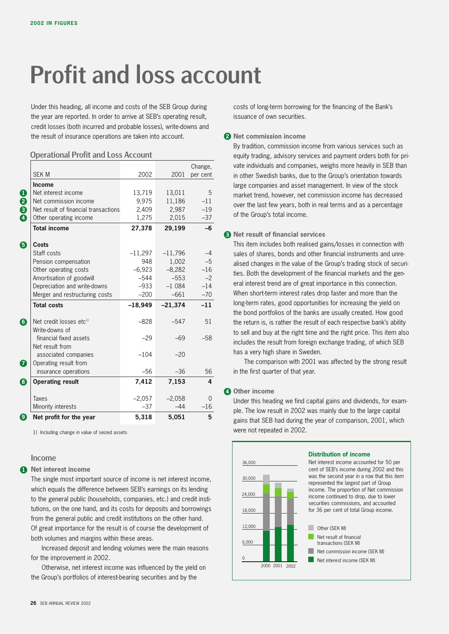# Profit and loss account

Under this heading, all income and costs of the SEB Group during the year are reported. In order to arrive at SEB's operating result, credit losses (both incurred and probable losses), write-downs and the result of insurance operations are taken into account.

#### Operational Profit and Loss Account

|             |                                      |           |           | Change,  |
|-------------|--------------------------------------|-----------|-----------|----------|
|             | <b>SEK M</b>                         | 2002      | 2001      | per cent |
|             | <b>Income</b>                        |           |           |          |
|             | Net interest income                  | 13,719    | 13,011    | 5        |
|             | Net commission income                | 9,975     | 11,186    | $-11$    |
| D<br>8<br>9 | Net result of financial transactions | 2,409     | 2,987     | $-19$    |
|             | Other operating income               | 1,275     | 2,015     | $-37$    |
|             | <b>Total income</b>                  | 27,378    | 29,199    | $-6$     |
| ₿           | <b>Costs</b>                         |           |           |          |
|             | Staff costs                          | $-11,297$ | $-11,796$ | $-4$     |
|             | Pension compensation                 | 948       | 1,002     | $-5$     |
|             | Other operating costs                | $-6,923$  | $-8,282$  | $-16$    |
|             | Amortisation of goodwill             | $-544$    | $-553$    | $-2$     |
|             | Depreciation and write-downs         | $-933$    | $-1084$   | $-14$    |
|             | Merger and restructuring costs       | $-200$    | $-661$    | $-70$    |
|             | <b>Total costs</b>                   | $-18,949$ | $-21,374$ | $-11$    |
| 6           | Net credit losses etc <sup>1)</sup>  | $-828$    | $-547$    | 51       |
|             | Write-downs of                       |           |           |          |
|             | financial fixed assets               | $-29$     | $-69$     | $-58$    |
|             | Net result from                      |           |           |          |
|             | associated companies                 | $-104$    | $-20$     |          |
| 7           | Operating result from                |           |           |          |
|             | insurance operations                 | $-56$     | $-36$     | 56       |
| 8           | <b>Operating result</b>              | 7,412     | 7,153     | 4        |
|             | <b>Taxes</b>                         | $-2,057$  | $-2,058$  | 0        |
|             | Minority interests                   | $-37$     | $-44$     | $-16$    |
| 9)          | Net profit for the year              | 5.318     | 5.051     | 5        |

1) Including change in value of seized assets

#### Income

#### **1** Net interest income

The single most important source of income is net interest income, which equals the difference between SEB's earnings on its lending to the general public (households, companies, etc.) and credit institutions, on the one hand, and its costs for deposits and borrowings from the general public and credit institutions on the other hand. Of great importance for the result is of course the development of both volumes and margins within these areas.

Increased deposit and lending volumes were the main reasons for the improvement in 2002.

Otherwise, net interest income was influenced by the yield on the Group's portfolios of interest-bearing securities and by the

costs of long-term borrowing for the financing of the Bank's issuance of own securities.

#### **2 Net commission income**

By tradition, commission income from various services such as equity trading, advisory services and payment orders both for private individuals and companies, weighs more heavily in SEB than in other Swedish banks, due to the Group's orientation towards large companies and asset management. In view of the stock market trend, however, net commission income has decreased over the last few years, both in real terms and as a percentage of the Group's total income.

#### **3 Net result of financial services**

This item includes both realised gains/losses in connection with sales of shares, bonds and other financial instruments and unrealised changes in the value of the Group's trading stock of securities. Both the development of the financial markets and the general interest trend are of great importance in this connection. When short-term interest rates drop faster and more than the long-term rates, good opportunities for increasing the yield on the bond portfolios of the banks are usually created. How good the return is, is rather the result of each respective bank's ability to sell and buy at the right time and the right price. This item also includes the result from foreign exchange trading, of which SEB has a very high share in Sweden.

The comparison with 2001 was affected by the strong result in the first quarter of that year.

#### **4 Other income**

Under this heading we find capital gains and dividends, for example. The low result in 2002 was mainly due to the large capital gains that SEB had during the year of comparison, 2001, which were not repeated in 2002.

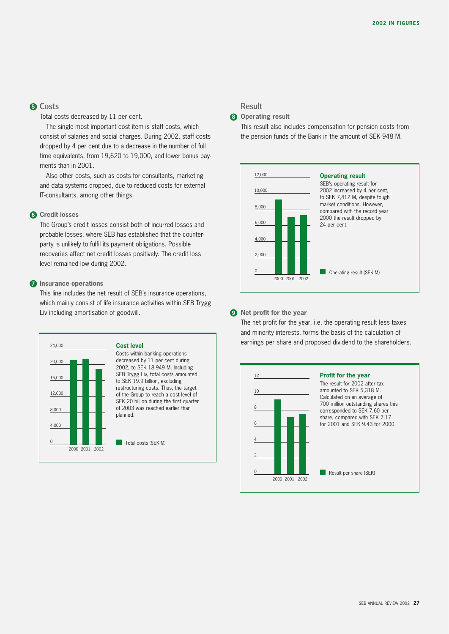#### Costs **5**

Total costs decreased by 11 per cent.

The single most important cost item is staff costs, which consist of salaries and social charges. During 2002, staff costs dropped by 4 per cent due to a decrease in the number of full time equivalents, from 19,620 to 19,000, and lower bonus payments than in 2001.

Also other costs, such as costs for consultants, marketing and data systems dropped, due to reduced costs for external IT-consultants, among other things.

#### **Credit losses 6**

The Group's credit losses consist both of incurred losses and probable losses, where SEB has established that the counterparty is unlikely to fulfil its payment obligations. Possible recoveries affect net credit losses positively. The credit loss level remained low during 2002.

#### **Insurance operations 7**

This line includes the net result of SEB's insurance operations, which mainly consist of life insurance activities within SEB Trygg Liv including amortisation of goodwill.



Costs within banking operations decreased by 11 per cent during 2002, to SEK 18,949 M. Including SEB Trygg Liv, total costs amounted to SEK 19.9 billion, excluding restructuring costs. Thus, the target of the Group to reach a cost level of SEK 20 billion during the first quarter of 2003 was reached earlier than

Total costs (SEK M)

#### Result

**Operating result 8**

This result also includes compensation for pension costs from the pension funds of the Bank in the amount of SEK 948 M.



#### **9** Net profit for the year

The net profit for the year, i.e. the operating result less taxes and minority interests, forms the basis of the calculation of earnings per share and proposed dividend to the shareholders.

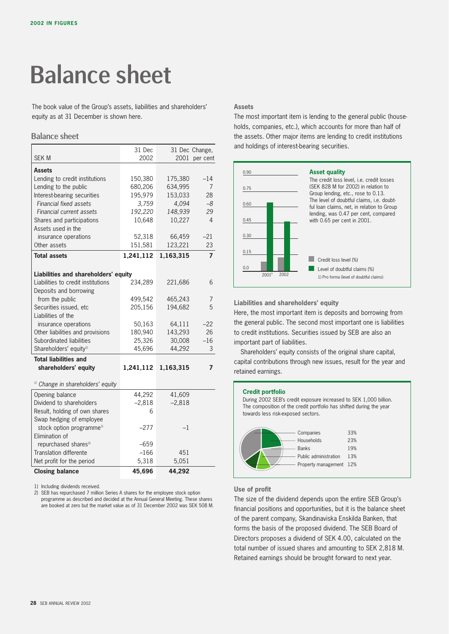# Balance sheet

The book value of the Group's assets, liabilities and shareholders' equity as at 31 December is shown here.

#### Balance sheet

|                                              | 31 Dec    |           | 31 Dec Change, |
|----------------------------------------------|-----------|-----------|----------------|
| <b>SEK M</b>                                 | 2002      | 2001      | per cent       |
|                                              |           |           |                |
| <b>Assets</b>                                |           |           |                |
| Lending to credit institutions               | 150,380   | 175,380   | $-14$          |
| Lending to the public                        | 680,206   | 634,995   | 7              |
| Interest-bearing securities                  | 195,979   | 153,033   | 28             |
| <b>Financial fixed assets</b>                | 3,759     | 4,094     | $-8$           |
| Financial current assets                     | 192,220   | 148,939   | 29             |
| Shares and participations                    | 10,648    | 10,227    | $\overline{4}$ |
| Assets used in the                           |           |           |                |
| insurance operations                         | 52,318    | 66,459    | $-21$          |
| Other assets                                 | 151,581   | 123,221   | 23             |
| <b>Total assets</b>                          | 1,241,112 | 1,163,315 | $\overline{7}$ |
|                                              |           |           |                |
| Liabilities and shareholders' equity         |           |           |                |
| Liabilities to credit institutions           | 234,289   | 221,686   | 6              |
| Deposits and borrowing                       |           |           |                |
| from the public                              | 499,542   | 465,243   | 7              |
| Securities issued, etc                       | 205,156   | 194,682   | 5              |
| Liabilities of the                           |           |           |                |
| insurance operations                         | 50,163    | 64,111    | $-22$          |
| Other liabilities and provisions             | 180,940   | 143,293   | 26             |
| Subordinated liabilities                     | 25,326    | 30,008    | $-16$          |
| Shareholders' equity <sup>1)</sup>           | 45,696    | 44,292    | 3              |
| <b>Total liabilities and</b>                 |           |           |                |
| shareholders' equity                         | 1,241,112 | 1,163,315 | 7              |
|                                              |           |           |                |
| <sup>1)</sup> Change in shareholders' equity |           |           |                |
|                                              |           |           |                |
| Opening balance                              | 44,292    | 41,609    |                |
| Dividend to shareholders                     | $-2,818$  | $-2,818$  |                |
| Result, holding of own shares                | 6         |           |                |
| Swap hedging of employee                     |           |           |                |
| stock option programme <sup>1)</sup>         | $-277$    | $-1$      |                |
| Elimination of                               |           |           |                |
| repurchased shares <sup>2)</sup>             | $-659$    |           |                |
| Translation differente                       | $-166$    | 451       |                |
| Net profit for the period                    | 5,318     | 5,051     |                |
| <b>Closing balance</b>                       | 45,696    | 44,292    |                |

1) Including dividends received.

2) SEB has repurchased 7 million Series A shares for the employee stock option programme as described and decided at the Annual General Meeting. These shares are booked at zero but the market value as of 31 December 2002 was SEK 508 M.

#### **Assets**

The most important item is lending to the general public (households, companies, etc.), which accounts for more than half of the assets. Other major items are lending to credit institutions and holdings of interest-bearing securities.



**Liabilities and shareholders' equity**

Here, the most important item is deposits and borrowing from the general public. The second most important one is liabilities to credit institutions. Securities issued by SEB are also an important part of liabilities.

Shareholders' equity consists of the original share capital, capital contributions through new issues, result for the year and retained earnings.



#### **Use of profit**

The size of the dividend depends upon the entire SEB Group's financial positions and opportunities, but it is the balance sheet of the parent company, Skandinaviska Enskilda Banken, that forms the basis of the proposed dividend. The SEB Board of Directors proposes a dividend of SEK 4.00, calculated on the total number of issued shares and amounting to SEK 2,818 M. Retained earnings should be brought forward to next year.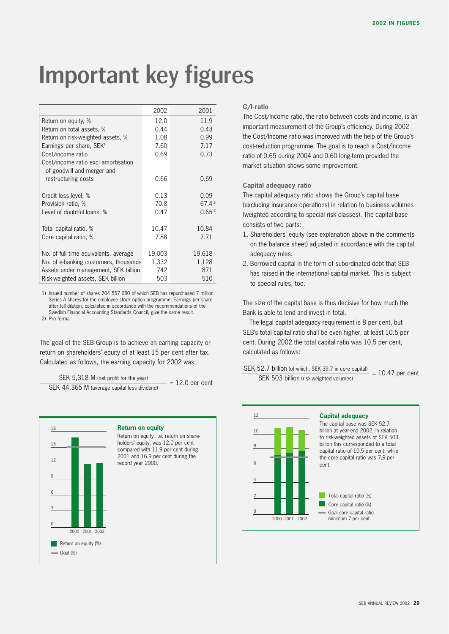# Important key figures

|                                                                   | 2002   | 2001       |
|-------------------------------------------------------------------|--------|------------|
| Return on equity, %                                               | 12.0   | 11.9       |
| Return on total assets, %                                         | 0.44   | 0.43       |
| Return on risk-weighted assets, %                                 | 1.08   | 0.99       |
| Earnings per share, SEK <sup>1)</sup>                             | 7.60   | 7.17       |
| Cost/income ratio                                                 | 0.69   | 0.73       |
| Cost/income ratio excl amortisation<br>of goodwill and merger and |        |            |
| restructuring costs                                               | 0.66   | 0.69       |
| Credit loss level, %                                              | 0.13   | 0.09       |
| Provision ratio, %                                                | 70.8   | 67.42      |
| Level of doubtful loans, %                                        | 0.47   | $0.65^{2}$ |
| Total capital ratio, %                                            | 10.47  | 10.84      |
| Core capital ratio, %                                             | 7.88   | 7.71       |
| No. of full time equivalents, average                             | 19,003 | 19,618     |
| No. of e-banking customers, thousands                             | 1,332  | 1,128      |
| Assets under management, SEK billion                              | 742    | 871        |
| Risk-weighted assets, SEK billion                                 | 503    | 510        |

1) Issued number of shares 704 557 680 of which SEB has repurchased 7 million Series A shares for the employee stock option programme. Earnings per share after full dilution, calculated in accordance with the recommendations of the Swedish Financial Accounting Standards Council, give the same result.

2) Pro forma

The goal of the SEB Group is to achieve an earning capacity or return on shareholders' equity of at least 15 per cent after tax. Calculated as follows, the earning capacity for 2002 was:

SEK 5,318 M (net profit for the year)  $SER 44,365 M$  (average capital less dividend)  $= 12.0$  per cent



#### **C/I-ratio**

The Cost/Income ratio, the ratio between costs and income, is an important measurement of the Group's efficiency. During 2002 the Cost/Income ratio was improved with the help of the Group's cost-reduction programme. The goal is to reach a Cost/Income ratio of 0.65 during 2004 and 0.60 long-term provided the market situation shows some improvement.

#### **Capital adequacy ratio**

The capital adequacy ratio shows the Group's capital base (excluding insurance operations) in relation to business volumes (weighted according to special risk classes). The capital base consists of two parts:

- 1. Shareholders' equity (see explanation above in the comments on the balance sheet) adjusted in accordance with the capital adequacy rules.
- 2. Borrowed capital in the form of subordinated debt that SEB has raised in the international capital market. This is subject to special rules, too.

The size of the capital base is thus decisive for how much the Bank is able to lend and invest in total.

The legal capital adequacy requirement is 8 per cent, but SEB's total capital ratio shall be even higher, at least 10.5 per cent. During 2002 the total capital ratio was 10.5 per cent, calculated as follows:

SEK 52.7 billion (of which, SEK 39.7 in core capital)  $SEX$  billion (or which, SER 39.7 in core capital) = 10.47 per cent

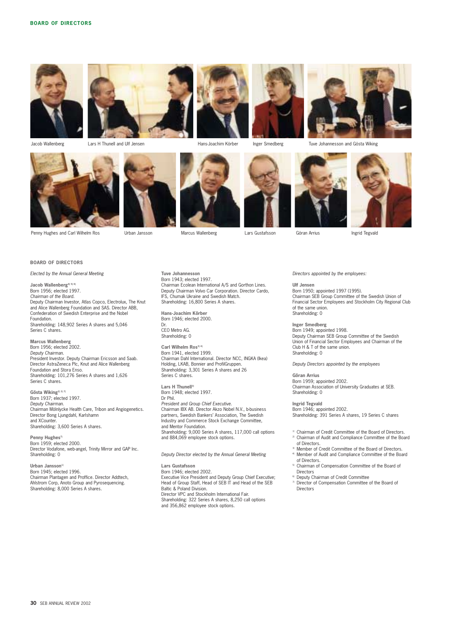



Lars H Thunell and Ulf Jensen







Jacob Wallenberg **Face Lars H** Thunell and Ulf Jensen **Face 19 and Solution** Hans-Joachim Körber Inger Smedberg Tuve Johannesson and Gösta Wiking







**BOARD OF DIRECTORS** 

*Elected by the Annual General Meeting*

**Jacob Wallenberg4) 5) 6)** Born 1956; elected 1997. *Chairman of the Board.* Deputy Chairman Investor, Atlas Copco, Electrolux, The Knut and Alice Wallenberg Foundation and SAS. Director ABB, Confederation of Swedish Enterprise and the Nobel Foundation. Shareholding: 148,902 Series A shares and 5,046 Series C shares.

**Marcus Wallenberg** Born 1956; elected 2002. *Deputy Chairman.* President Investor. Deputy Chairman Ericsson and Saab. Director AstraZeneca Plc, Knut and Alice Wallenberg Foundation and Stora Enso. Shareholding: 101,276 Series A shares and 1,626 Series C shares.

**Gösta Wiking2) 3) 7)** Born 1937; elected 1997. *Deputy Chairman.* Chairman Mölnlycke Health Care, Tribon and Angiogenetics. Director Bong Ljungdahl, Karlshamn and XCounter. Shareholding: 3,600 Series A shares.

Penny Hughes<sup>7</sup> Born 1959; elected 2000. Director Vodafone, web-angel, Trinity Mirror and GAP Inc. Shareholding: 0

**Urban Jansson1)** Born 1945; elected 1996. Chairman Plantagen and Proffice. Director Addtech, Ahlstrom Corp, Anoto Group and Pyrosequencing. Shareholding: 8,000 Series A shares.

**Tuve Johannesson** Born 1943; elected 1997. Chairman Ecolean International A/S and Gorthon Lines. Deputy Chairman Volvo Car Corporation. Director Cardo, IFS, Chumak Ukraine and Swedish Match. Shareholding: 16,800 Series A shares.

**Hans-Joachim Körber** Born 1946; elected 2000. Dr. CEO Metro AG. Shareholding: 0

Carl Wilhelm Ros<sup>3)</sup> Born 1941, elected 1999. Chairman Dahl International. Director NCC, INGKA (Ikea) Holding, LKAB, Bonnier and ProfilGruppen. Shareholding: 3,301 Series A shares and 26 Series C shares.

Lars H Thunell<sup>3)</sup> Born 1948; elected 1997. Dr Phil. *President and Group Chief Executive.* Chairman IBX AB. Director Akzo Nobel N.V., b-business partners, Swedish Bankers' Association, The Swedish Industry and Commerce Stock Exchange Committee, and Mentor Foundation. Shareholding: 9,000 Series A shares, 117,000 call options and 884,069 employee stock options.

*Deputy Director elected by the Annual General Meeting*

**Lars Gustafsson** Born 1946; elected 2002. Executive Vice President and Deputy Group Chief Executive; Head of Group Staff, Head of SEB IT and Head of the SEB Baltic & Poland Division. Director VPC and Stockholm International Fair. Shareholding: 322 Series A shares, 8,250 call options and 356,862 employee stock options.

*Directors appointed by the employees:*

#### **Ulf Jensen**

Born 1950; appointed 1997 (1995). Chairman SEB Group Committee of the Swedish Union of Financial Sector Employees and Stockholm City Regional Club of the same union. Shareholding: 0

**Inger Smedberg** Born 1949; appointed 1998. Deputy Chairman SEB Group Committee of the Swedish Union of Financial Sector Employees and Chairman of the Club H & T of the same union. Shareholding: 0

*Deputy Directors appointed by the employees*

**Göran Arrius** Born 1959; appointed 2002. Chairman Association of University Graduates at SEB. Shareholding: 0

**Ingrid Tegvald** Born 1946; appointed 2002. Shareholding: 391 Series A shares, 19 Series C shares

- 
- <sup>1)</sup> Chairman of Credit Committee of the Board of Directors.<br><sup>2)</sup> Chairman of Audit and Compliance Committee of the Board of Directors.
- Member of Credit Committee of the Board of Directors.<br>Member of Audit and Compliance Committee of the Board of Directors.
- 5) Chairman of Compensation Committee of the Board of **Directors**
- 6) Deputy Chairman of Credit Committee
- 7) Director of Compensation Committee of the Board of Directors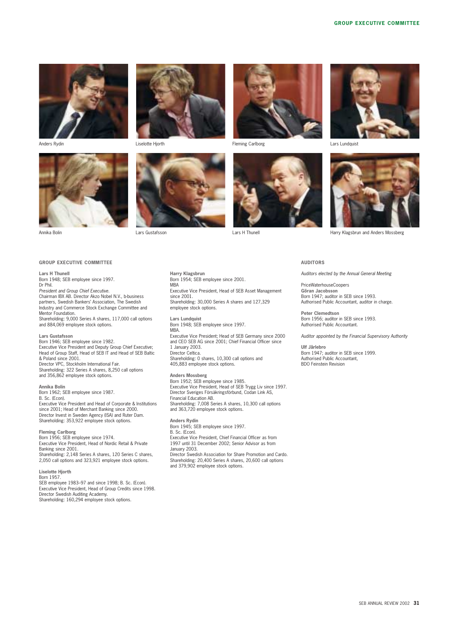





Annika Bolin Lars Gustafsson Lars H Thunell Harry Klagsbrun and Anders Mossberg

**Harry Klagsbrun**

employee stock options.

MBA

since 2001.

Born 1954; SEB employee since 2001.









#### **AUDITORS**

*Auditors elected by the Annual General Meeting*

PriceWaterhouseCoopers **Göran Jacobsson** Born 1947; auditor in SEB since 1993. Authorised Public Accountant, auditor in charge.

**Peter Clemedtson** Born 1956; auditor in SEB since 1993. Authorised Public Accountant.

*Auditor appointed by the Financial Supervisory Authority*

**Ulf Järlebro** Born 1947; auditor in SEB since 1999. Authorised Public Accountant, BDO Feinstein Revision

#### **GROUP EXECUTIVE COMMITTEE**

**Lars H Thunell** Born 1948; SEB employee since 1997. Dr Phil. *President and Group Chief Executive.* Chairman IBX AB. Director Akzo Nobel N.V., b-business partners, Swedish Bankers' Association, The Swedish Industry and Commerce Stock Exchange Committee and Mentor Foundation. Shareholding: 9,000 Series A shares, 117,000 call options and 884,069 employee stock options.

**Lars Gustafsson** Born 1946; SEB employee since 1982. Executive Vice President and Deputy Group Chief Executive; Head of Group Staff, Head of SEB IT and Head of SEB Baltic & Poland since 2001. Director VPC, Stockholm International Fair. Shareholding: 322 Series A shares, 8,250 call options and 356,862 employee stock options.

**Annika Bolin**

Born 1962; SEB employee since 1987. B. Sc. (Econ). Executive Vice President and Head of Corporate & Institutions since 2001; Head of Merchant Banking since 2000. Director Invest in Sweden Agency (ISA) and Ruter Dam. Shareholding: 353,922 employee stock options.

**Fleming Carlborg** Born 1956; SEB employee since 1974. Executive Vice President, Head of Nordic Retail & Private Banking since 2001. Shareholding: 2,148 Series A shares, 120 Series C shares, 2,050 call options and 323,921 employee stock options.

**Liselotte Hjorth** Born 1957. SEB employee 1983–97 and since 1998; B. Sc. (Econ). Executive Vice President, Head of Group Credits since 1998. Director Swedish Auditing Academy. Shareholding: 160,294 employee stock options.

**Lars Lundquist** Born 1948; SEB employee since 1997. MBA. Executive Vice President; Head of SEB Germany since 2000 and CEO SEB AG since 2001; Chief Financial Officer since 1 January 2003. Director Celtica. Shareholding: 0 shares, 10,300 call options and 405,883 employee stock options. **Anders Mossberg** Born 1952; SEB employee since 1985. Executive Vice President, Head of SEB Trygg Liv since 1997. Director Sveriges Försäkringsförbund, Codan Link AS, Financial Education AB.

Executive Vice President, Head of SEB Asset Management

Shareholding: 30,000 Series A shares and 127,329

Shareholding: 7,008 Series A shares, 10,300 call options and 363,720 employee stock options.

**Anders Rydin** Born 1945; SEB employee since 1997. B. Sc. (Econ).

Executive Vice President, Chief Financial Officer as from 1997 until 31 December 2002; Senior Advisor as from January 2003.

Director Swedish Association for Share Promotion and Cardo. Shareholding: 20,400 Series A shares, 20,600 call options and 379,902 employee stock options.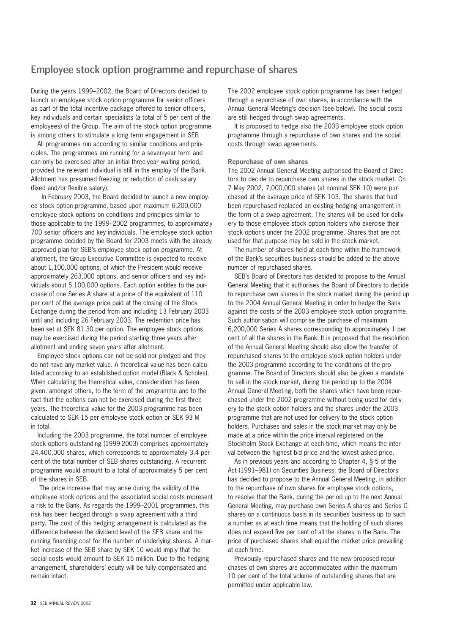#### Employee stock option programme and repurchase of shares

During the years 1999–2002, the Board of Directors decided to launch an employee stock option programme for senior officers as part of the total incentive package offered to senior officers, key individuals and certain specialists (a total of 5 per cent of the employees) of the Group. The aim of the stock option programme is among others to stimulate a long term engagement in SEB

All programmes run according to similar conditions and principles. The programmes are running for a seven-year term and can only be exercised after an initial three-year waiting period, provided the relevant individual is still in the employ of the Bank. Allotment has presumed freezing or reduction of cash salary (fixed and/or flexible salary).

In February 2003, the Board decided to launch a new employee stock option programme, based upon maximum 6,200,000 employee stock options on conditions and principles similar to those applicable to the 1999–2002 programmes, to approximately 700 senior officers and key individuals. The employee stock option programme decided by the Board for 2003 meets with the already approved plan for SEB's employee stock option programme. At allotment, the Group Executive Committee is expected to receive about 1,100,000 options, of which the President would receive approximately 263,000 options, and senior officers and key individuals about 5,100,000 options. Each option entitles to the purchase of one Series A share at a price of the equivalent of 110 per cent of the average price paid at the closing of the Stock Exchange during the period from and including 13 February 2003 until and including 26 February 2003. The redemtion price has been set at SEK 81.30 per option. The employee stock options may be exercised during the period starting three years after allotment and ending seven years after allotment.

Employee stock options can not be sold nor pledged and they do not have any market value. A theoretical value has been calculated according to an established option model (Black & Scholes). When calculating the theoretical value, consideration has been given, amongst others, to the term of the programme and to the fact that the options can not be exercised during the first three years. The theoretical value for the 2003 programme has been calculated to SEK 15 per employee stock option or SEK 93 M in total.

Including the 2003 programme, the total number of employee stock options outstanding (1999-2003) comprises approximately 24,400,000 shares, which corresponds to approximately 3.4 per cent of the total number of SEB shares outstanding. A recurrent programme would amount to a total of approximately 5 per cent of the shares in SEB.

The price increase that may arise during the validity of the employee stock options and the associated social costs represent a risk to the Bank. As regards the 1999–2001 programmes, this risk has been hedged through a swap agreement with a third party. The cost of this hedging arrangement is calculated as the difference between the dividend level of the SEB share and the running financing cost for the number of underlying shares. A market increase of the SEB share by SEK 10 would imply that the social costs would amount to SEK 15 million. Due to the hedging arrangement, shareholders' equity will be fully compensated and remain intact.

The 2002 employee stock option programme has been hedged through a repurchase of own shares, in accordance with the Annual General Meeting's decision (see below). The social costs are still hedged through swap agreements.

It is proposed to hedge also the 2003 employee stock option programme through a repurchase of own shares and the social costs through swap agreements.

#### **Repurchase of own shares**

The 2002 Annual General Meeting authorised the Board of Directors to decide to repurchase own shares in the stock market. On 7 May 2002, 7,000,000 shares (at nominal SEK 10) were purchased at the average price of SEK 103. The shares that had been repurchased replaced an existing hedging arrangement in the form of a swap agreement. The shares will be used for delivery to those employee stock option holders who exercise their stock options under the 2002 programme. Shares that are not used for that purpose may be sold in the stock market.

The number of shares held at each time within the framework of the Bank's securities business should be added to the above number of repurchased shares.

SEB's Board of Directors has decided to propose to the Annual General Meeting that it authorises the Board of Directors to decide to repurchase own shares in the stock market during the period up to the 2004 Annual General Meeting in order to hedge the Bank against the costs of the 2003 employee stock option programme. Such authorisation will comprise the purchase of maximum 6,200,000 Series A shares corresponding to approximately 1 per cent of all the shares in the Bank. It is proposed that the resolution of the Annual General Meeting should also allow the transfer of repurchased shares to the employee stock option holders under the 2003 programme according to the conditions of the programme. The Board of Directors should also be given a mandate to sell in the stock market, during the period up to the 2004 Annual General Meeting, both the shares which have been repurchased under the 2002 programme without being used for delivery to the stock option holders and the shares under the 2003 programme that are not used for delivery to the stock option holders. Purchases and sales in the stock market may only be made at a price within the price interval registered on the Stockholm Stock Exchange at each time, which means the interval between the highest bid price and the lowest asked price.

As in previous years and according to Chapter 4, § 5 of the Act (1991–981) on Securities Business, the Board of Directors has decided to propose to the Annual General Meeting, in addition to the repurchase of own shares for employee stock options, to resolve that the Bank, during the period up to the next Annual General Meeting, may purchase own Series A shares and Series C shares on a continuous basis in its securities business up to such a number as at each time means that the holding of such shares does not exceed five per cent of all the shares in the Bank. The price of purchased shares shall equal the market price prevailing at each time.

Previously repurchased shares and the new proposed repurchases of own shares are accommodated within the maximum 10 per cent of the total volume of outstanding shares that are permitted under applicable law.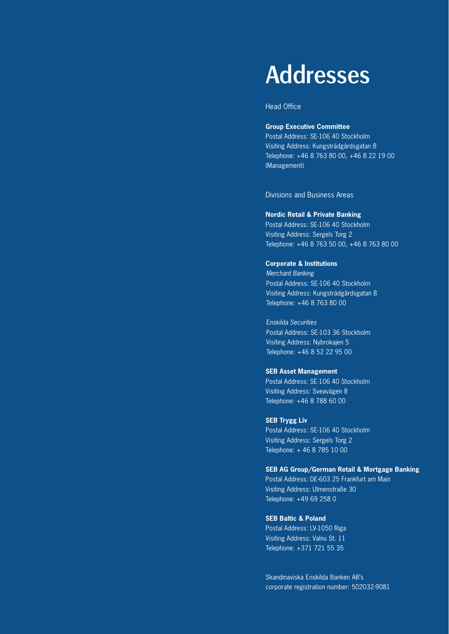# Addresses

Head Office

#### **Group Executive Committee**

Postal Address: SE-106 40 Stockholm Visiting Address: Kungsträdgårdsgatan 8 Telephone: +46 8 763 80 00, +46 8 22 19 00 (Management)

Divisions and Business Areas

#### **Nordic Retail & Private Banking**

Postal Address: SE-106 40 Stockholm Visiting Address: Sergels Torg 2 Telephone: +46 8 763 50 00, +46 8 763 80 00

#### **Corporate & Institutions**

*Merchant Banking* Postal Address: SE-106 40 Stockholm Visiting Address: Kungsträdgårdsgatan 8 Telephone: +46 8 763 80 00

*Enskilda Securities* Postal Address: SE-103 36 Stockholm Visiting Address: Nybrokajen 5 Telephone: +46 8 52 22 95 00

#### **SEB Asset Management**

Postal Address: SE-106 40 Stockholm Visiting Address: Sveavägen 8 Telephone: +46 8 788 60 00

#### **SEB Trygg Liv**

Postal Address: SE-106 40 Stockholm Visiting Address: Sergels Torg 2 Telephone: + 46 8 785 10 00

#### **SEB AG Group/German Retail & Mortgage Banking**

Postal Address: DE-603 25 Frankfurt am Main Visiting Address: Ulmenstraße 30 Telephone: +49 69 258 0

#### **SEB Baltic & Poland**

Postal Address: LV-1050 Riga Visiting Address: Valnu St. 11 Telephone: +371 721 55 35

Skandinaviska Enskilda Banken AB's corporate registration number: 502032-9081